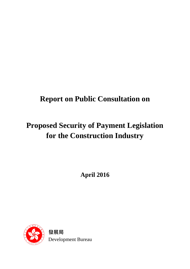# **Report on Public Consultation on**

# **Proposed Security of Payment Legislation for the Construction Industry**

**April 2016** 



**發展局** Development Bureau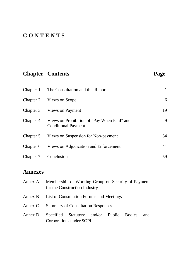# **C O N T E N T S**

# **Chapter Contents Page** Chapter 1 The Consultation and this Report 1 1 Chapter 2 Views on Scope 6 Chapter 3 Views on Payment 19 Chapter 4 Views on Prohibition of "Pay When Paid" and Conditional Payment 29 Chapter 5 Views on Suspension for Non-payment 34 Chapter 6 Views on Adjudication and Enforcement 41 Chapter 7 Conclusion 59

### **Annexes**

|         | Annex A Membership of Working Group on Security of Payment<br>for the Construction Industry |                                                                     |  |  |  |     |
|---------|---------------------------------------------------------------------------------------------|---------------------------------------------------------------------|--|--|--|-----|
|         | Annex B List of Consultation Forums and Meetings                                            |                                                                     |  |  |  |     |
|         | Annex C Summary of Consultation Responses                                                   |                                                                     |  |  |  |     |
| Annex D |                                                                                             | Specified Statutory and/or Public Bodies<br>Corporations under SOPL |  |  |  | and |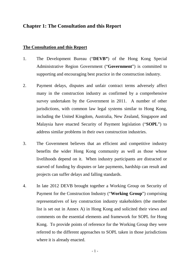### **Chapter 1: The Consultation and this Report**

#### **The Consultation and this Report**

- 1. The Development Bureau ("**DEVB"**) of the Hong Kong Special Administrative Region Government ("**Government**") is committed to supporting and encouraging best practice in the construction industry.
- 2. Payment delays, disputes and unfair contract terms adversely affect many in the construction industry as confirmed by a comprehensive survey undertaken by the Government in 2011. A number of other jurisdictions, with common law legal systems similar to Hong Kong, including the United Kingdom, Australia, New Zealand, Singapore and Malaysia have enacted Security of Payment legislation ("**SOPL**") to address similar problems in their own construction industries.
- 3. The Government believes that an efficient and competitive industry benefits the wider Hong Kong community as well as those whose livelihoods depend on it. When industry participants are distracted or starved of funding by disputes or late payments, hardship can result and projects can suffer delays and falling standards.
- 4. In late 2012 DEVB brought together a Working Group on Security of Payment for the Construction Industry ("**Working Group**") comprising representatives of key construction industry stakeholders (the member list is set out in Annex A) in Hong Kong and solicited their views and comments on the essential elements and framework for SOPL for Hong Kong. To provide points of reference for the Working Group they were referred to the different approaches to SOPL taken in those jurisdictions where it is already enacted.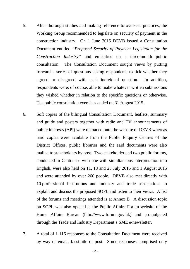- 5. After thorough studies and making reference to overseas practices, the Working Group recommended to legislate on security of payment in the construction industry. On 1 June 2015 DEVB issued a Consultation Document entitled *"Proposed Security of Payment Legislation for the Construction Industry"* and embarked on a three-month public consultation. The Consultation Document sought views by putting forward a series of questions asking respondents to tick whether they agreed or disagreed with each individual question. In addition, respondents were, of course, able to make whatever written submissions they wished whether in relation to the specific questions or otherwise. The public consultation exercises ended on 31 August 2015.
- 6. Soft copies of the bilingual Consultation Document, leaflets, summary and guide and posters together with radio and TV announcements of public interests (API) were uploaded onto the website of DEVB whereas hard copies were available from the Public Enquiry Centres of the District Offices, public libraries and the said documents were also mailed to stakeholders by post. Two stakeholder and two public forums, conducted in Cantonese with one with simultaneous interpretation into English, were also held on 11, 18 and 25 July 2015 and 1 August 2015 and were attended by over 260 people. DEVB also met directly with 10 professional institutions and industry and trade associations to explain and discuss the proposed SOPL and listen to their views. A list of the forums and meetings attended is at Annex B. A discussion topic on SOPL was also opened at the Public Affairs Forum website of the Home Affairs Bureau (httu://www.forum.gov.hk) and promulgated through the Trade and Industry Department's SME e-newsletter.
- 7. A total of 1 116 responses to the Consultation Document were received by way of email, facsimile or post. Some responses comprised only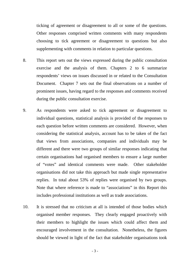ticking of agreement or disagreement to all or some of the questions. Other responses comprised written comments with many respondents choosing to tick agreement or disagreement to questions but also supplementing with comments in relation to particular questions.

- 8. This report sets out the views expressed during the public consultation exercise and the analysis of them. Chapters 2 to 6 summarize respondents' views on issues discussed in or related to the Consultation Document. Chapter 7 sets out the final observations on a number of prominent issues, having regard to the responses and comments received during the public consultation exercise.
- 9. As respondents were asked to tick agreement or disagreement to individual questions, statistical analysis is provided of the responses to each question before written comments are considered. However, when considering the statistical analysis, account has to be taken of the fact that views from associations, companies and individuals may be different and there were two groups of similar responses indicating that certain organisations had organised members to ensure a large number of "votes" and identical comments were made. Other stakeholder organisations did not take this approach but made single representative replies. In total about 53% of replies were organised by two groups. Note that where reference is made to "associations" in this Report this includes professional institutions as well as trade associations.
- 10. It is stressed that no criticism at all is intended of those bodies which organised member responses. They clearly engaged proactively with their members to highlight the issues which could affect them and encouraged involvement in the consultation. Nonetheless, the figures should be viewed in light of the fact that stakeholder organisations took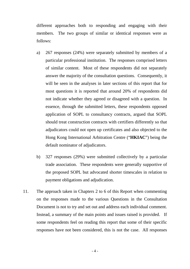different approaches both to responding and engaging with their members. The two groups of similar or identical responses were as follows:

- a) 267 responses (24%) were separately submitted by members of a particular professional institution. The responses comprised letters of similar content. Most of these respondents did not separately answer the majority of the consultation questions. Consequently, it will be seen in the analyses in later sections of this report that for most questions it is reported that around 20% of respondents did not indicate whether they agreed or disagreed with a question. In essence, through the submitted letters, these respondents opposed application of SOPL to consultancy contracts, argued that SOPL should treat construction contracts with certifiers differently so that adjudicators could not open up certificates and also objected to the Hong Kong International Arbitration Centre ("**HKIAC**") being the default nominator of adjudicators.
- b) 327 responses (29%) were submitted collectively by a particular trade association. These respondents were generally supportive of the proposed SOPL but advocated shorter timescales in relation to payment obligations and adjudication.
- 11. The approach taken in Chapters 2 to 6 of this Report when commenting on the responses made to the various Questions in the Consultation Document is not to try and set out and address each individual comment. Instead, a summary of the main points and issues raised is provided. If some respondents feel on reading this report that some of their specific responses have not been considered, this is not the case. All responses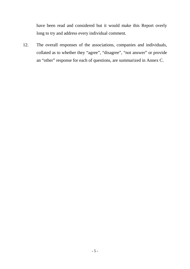have been read and considered but it would make this Report overly long to try and address every individual comment.

12. The overall responses of the associations, companies and individuals, collated as to whether they "agree", "disagree", "not answer" or provide an "other" response for each of questions, are summarized in Annex C.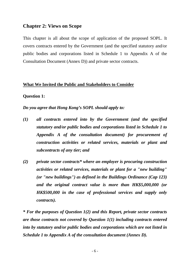### **Chapter 2: Views on Scope**

This chapter is all about the scope of application of the proposed SOPL. It covers contracts entered by the Government (and the specified statutory and/or public bodies and corporations listed in Schedule 1 to Appendix A of the Consultation Document (Annex D)) and private sector contracts.

#### **What We Invited the Public and Stakeholders to Consider**

#### **Question 1:**

#### *Do you agree that Hong Kong's SOPL should apply to:*

- *(1) all contracts entered into by the Government (and the specified statutory and/or public bodies and corporations listed in Schedule 1 to Appendix A of the consultation document) for procurement of construction activities or related services, materials or plant and subcontracts of any tier; and*
- *(2) private sector contracts\* where an employer is procuring construction activities or related services, materials or plant for a "new building" (or "new buildings") as defined in the Buildings Ordinance (Cap 123) and the original contract value is more than HK\$5,000,000 (or HK\$500,000 in the case of professional services and supply only contracts).*

*\* For the purposes of Question 1(2) and this Report, private sector contracts are those contracts not covered by Question 1(1) including contracts entered into by statutory and/or public bodies and corporations which are not listed in Schedule 1 to Appendix A of the consultation document (Annex D).*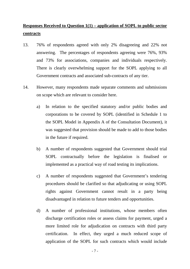# **Responses Received to Question 1(1) – application of SOPL to public sector contracts**

- 13. 76% of respondents agreed with only 2% disagreeing and 22% not answering. The percentages of respondents agreeing were 76%, 93% and 73% for associations, companies and individuals respectively. There is clearly overwhelming support for the SOPL applying to all Government contracts and associated sub-contracts of any tier.
- 14. However, many respondents made separate comments and submissions on scope which are relevant to consider here.
	- a) In relation to the specified statutory and/or public bodies and corporations to be covered by SOPL (identified in Schedule 1 to the SOPL Model in Appendix A of the Consultation Document), it was suggested that provision should be made to add to those bodies in the future if required.
	- b) A number of respondents suggested that Government should trial SOPL contractually before the legislation is finalised or implemented as a practical way of road testing its implications.
	- c) A number of respondents suggested that Government's tendering procedures should be clarified so that adjudicating or using SOPL rights against Government cannot result in a party being disadvantaged in relation to future tenders and opportunities.
	- d) A number of professional institutions, whose members often discharge certification roles or assess claims for payment, urged a more limited role for adjudication on contracts with third party certification. In effect, they urged a much reduced scope of application of the SOPL for such contracts which would include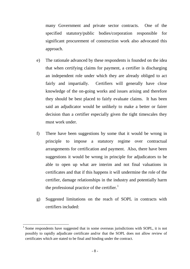many Government and private sector contracts. One of the specified statutory/public bodies/corporation responsible for significant procurement of construction work also advocated this approach.

- e) The rationale advanced by these respondents is founded on the idea that when certifying claims for payment, a certifier is discharging an independent role under which they are already obliged to act fairly and impartially. Certifiers will generally have close knowledge of the on-going works and issues arising and therefore they should be best placed to fairly evaluate claims. It has been said an adjudicator would be unlikely to make a better or fairer decision than a certifier especially given the tight timescales they must work under.
- f) There have been suggestions by some that it would be wrong in principle to impose a statutory regime over contractual arrangements for certification and payment. Also, there have been suggestions it would be wrong in principle for adjudicators to be able to open up what are interim and not final valuations in certificates and that if this happens it will undermine the role of the certifier, damage relationships in the industry and potentially harm the professional practice of the certifier. $<sup>1</sup>$  $<sup>1</sup>$  $<sup>1</sup>$ </sup>
- g) Suggested limitations on the reach of SOPL in contracts with certifiers included:

 $\overline{a}$ 

<span id="page-9-0"></span><sup>1</sup> Some respondents have suggested that in some overseas jurisdictions with SOPL, it is not possibly to rapidly adjudicate certificate and/or that the SOPL does not allow review of certificates which are stated to be final and binding under the contract.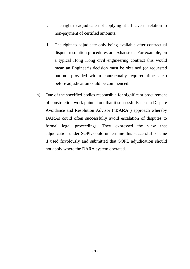- i. The right to adjudicate not applying at all save in relation to non-payment of certified amounts.
- ii. The right to adjudicate only being available after contractual dispute resolution procedures are exhausted. For example, on a typical Hong Kong civil engineering contract this would mean an Engineer's decision must be obtained (or requested but not provided within contractually required timescales) before adjudication could be commenced.
- h) One of the specified bodies responsible for significant procurement of construction work pointed out that it successfully used a Dispute Avoidance and Resolution Advisor ("**DARA**") approach whereby DARAs could often successfully avoid escalation of disputes to formal legal proceedings. They expressed the view that adjudication under SOPL could undermine this successful scheme if used frivolously and submitted that SOPL adjudication should not apply where the DARA system operated.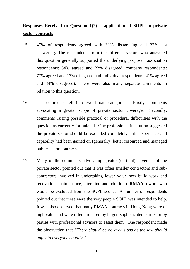## **Responses Received to Question 1(2) – application of SOPL to private sector contracts**

- 15. 47% of respondents agreed with 31% disagreeing and 22% not answering. The respondents from the different sectors who answered this question generally supported the underlying proposal (association respondents: 54% agreed and 22% disagreed, company respondents: 77% agreed and 17% disagreed and individual respondents: 41% agreed and 34% disagreed). There were also many separate comments in relation to this question.
- 16. The comments fell into two broad categories. Firstly, comments advocating a greater scope of private sector coverage. Secondly, comments raising possible practical or procedural difficulties with the question as currently formulated. One professional institution suggested the private sector should be excluded completely until experience and capability had been gained on (generally) better resourced and managed public sector contracts.
- 17. Many of the comments advocating greater (or total) coverage of the private sector pointed out that it was often smaller contractors and subcontractors involved in undertaking lower value new build work and renovation, maintenance, alteration and addition ("**RMAA**") work who would be excluded from the SOPL scope. A number of respondents pointed out that these were the very people SOPL was intended to help. It was also observed that many RMAA contracts in Hong Kong were of high value and were often procured by larger, sophisticated parties or by parties with professional advisors to assist them. One respondent made the observation that *"There should be no exclusions as the law should apply to everyone equally."*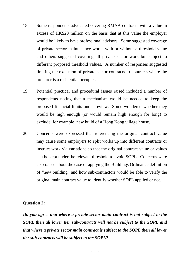- 18. Some respondents advocated covering RMAA contracts with a value in excess of HK\$20 million on the basis that at this value the employer would be likely to have professional advisors. Some suggested coverage of private sector maintenance works with or without a threshold value and others suggested covering all private sector work but subject to different proposed threshold values. A number of responses suggested limiting the exclusion of private sector contracts to contracts where the procurer is a residential occupier.
- 19. Potential practical and procedural issues raised included a number of respondents noting that a mechanism would be needed to keep the proposed financial limits under review. Some wondered whether they would be high enough (or would remain high enough for long) to exclude, for example, new build of a Hong Kong village house.
- 20. Concerns were expressed that referencing the original contract value may cause some employers to split works up into different contracts or instruct work via variations so that the original contract value or values can be kept under the relevant threshold to avoid SOPL. Concerns were also raised about the ease of applying the Buildings Ordinance definition of "new building" and how sub-contractors would be able to verify the original main contract value to identify whether SOPL applied or not.

#### **Question 2:**

*Do you agree that where a private sector main contract is not subject to the SOPL then all lower tier sub-contracts will not be subject to the SOPL and that where a private sector main contract is subject to the SOPL then all lower tier sub-contracts will be subject to the SOPL?* 

- 11 -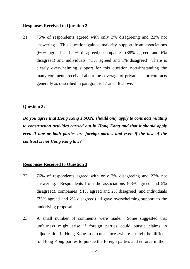#### **Responses Received to Question 2**

21. 75% of respondents agreed with only 3% disagreeing and 22% not answering. This question gained majority support from associations (66% agreed and 2% disagreed), companies (88% agreed and 6% disagreed) and individuals (73% agreed and 1% disagreed). There is clearly overwhelming support for this question notwithstanding the many comments received about the coverage of private sector contracts generally as described in paragraphs 17 and 18 above.

#### **Question 3:**

*Do you agree that Hong Kong's SOPL should only apply to contracts relating to construction activities carried out in Hong Kong and that it should apply even if one or both parties are foreign parties and even if the law of the contract is not Hong Kong law?* 

### **Responses Received to Question 3**

- 22. 76% of respondents agreed with only 2% disagreeing and 22% not answering. Respondents from the associations (68% agreed and 5% disagreed), companies (91% agreed and 2% disagreed) and individuals (73% agreed and 2% disagreed) all gave overwhelming support to the underlying proposal.
- 23. A small number of comments were made. Some suggested that unfairness might arise if foreign parties could pursue claims in adjudication in Hong Kong in circumstances where it might be difficult for Hong Kong parties to pursue the foreign parties and enforce in their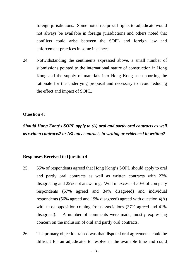foreign jurisdictions. Some noted reciprocal rights to adjudicate would not always be available in foreign jurisdictions and others noted that conflicts could arise between the SOPL and foreign law and enforcement practices in some instances.

24. Notwithstanding the sentiments expressed above, a small number of submissions pointed to the international nature of construction in Hong Kong and the supply of materials into Hong Kong as supporting the rationale for the underlying proposal and necessary to avoid reducing the effect and impact of SOPL.

#### **Question 4:**

*Should Hong Kong's SOPL apply to (A) oral and partly oral contracts as well as written contracts? or (B) only contracts in writing or evidenced in writing?*

#### **Responses Received to Question 4**

- 25. 55% of respondents agreed that Hong Kong's SOPL should apply to oral and partly oral contracts as well as written contracts with 22% disagreeing and 22% not answering. Well in excess of 50% of company respondents (57% agreed and 34% disagreed) and individual respondents (56% agreed and 19% disagreed) agreed with question 4(A) with most opposition coming from associations (37% agreed and 41%) disagreed). A number of comments were made, mostly expressing concern on the inclusion of oral and partly oral contracts.
- 26. The primary objection raised was that disputed oral agreements could be difficult for an adjudicator to resolve in the available time and could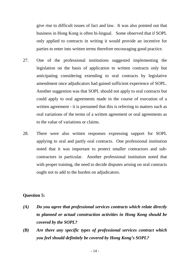give rise to difficult issues of fact and law. It was also pointed out that business in Hong Kong is often bi-lingual. Some observed that if SOPL only applied to contracts in writing it would provide an incentive for parties to enter into written terms therefore encouraging good practice.

- 27. One of the professional institutions suggested implementing the legislation on the basis of application to written contracts only but anticipating considering extending to oral contracts by legislative amendment once adjudicators had gained sufficient experience of SOPL. Another suggestion was that SOPL should not apply to oral contracts but could apply to oral agreements made in the course of execution of a written agreement - it is presumed that this is referring to matters such as oral variations of the terms of a written agreement or oral agreements as to the value of variations or claims.
- 28. There were also written responses expressing support for SOPL applying to oral and partly oral contracts. One professional institution noted that it was important to protect smaller contractors and subcontractors in particular. Another professional institution noted that with proper training, the need to decide disputes arising on oral contracts ought not to add to the burden on adjudicators.

### **Question 5:**

- *(A) Do you agree that professional services contracts which relate directly to planned or actual construction activities in Hong Kong should be covered by the SOPL?*
- *(B) Are there any specific types of professional services contract which you feel should definitely be covered by Hong Kong's SOPL?*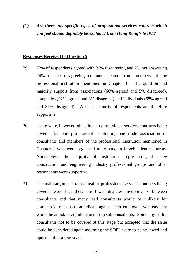*(C) Are there any specific types of professional services contract which you feel should definitely be excluded from Hong Kong's SOPL?* 

#### **Responses Received to Question 5**

- 29. 72% of respondents agreed with 26% disagreeing and 2% not answering. 24% of the disagreeing comments came from members of the professional institution mentioned in Chapter 1. The question had majority support from associations (66% agreed and 5% disagreed), companies (92% agreed and 3% disagreed) and individuals (68% agreed and 31% disagreed). A clear majority of respondents are therefore supportive.
- 30. There were, however, objections to professional services contracts being covered by one professional institution, one trade association of consultants and members of the professional institution mentioned in Chapter 1 who were organised to respond in largely identical terms. Nonetheless, the majority of institutions representing the key construction and engineering industry professional groups and other respondents were supportive.
- 31. The main arguments raised against professional services contracts being covered were that there are fewer disputes involving or between consultants and that many lead consultants would be unlikely for commercial reasons to adjudicate against their employers whereas they would be at risk of adjudications from sub-consultants. Some argued for consultants not to be covered at this stage but accepted that the issue could be considered again assuming the SOPL were to be reviewed and updated after a few years.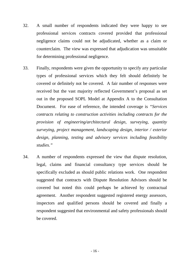- 32. A small number of respondents indicated they were happy to see professional services contracts covered provided that professional negligence claims could not be adjudicated, whether as a claim or counterclaim. The view was expressed that adjudication was unsuitable for determining professional negligence.
- 33. Finally, respondents were given the opportunity to specify any particular types of professional services which they felt should definitely be covered or definitely not be covered. A fair number of responses were received but the vast majority reflected Government's proposal as set out in the proposed SOPL Model at Appendix A to the Consultation Document. For ease of reference, the intended coverage is *"Services contracts relating to construction activities including contracts for the provision of engineering/architectural design, surveying, quantity surveying, project management, landscaping design, interior / exterior design, planning, testing and advisory services including feasibility studies."*
- 34. A number of respondents expressed the view that dispute resolution, legal, claims and financial consultancy type services should be specifically excluded as should public relations work. One respondent suggested that contracts with Dispute Resolution Advisors should be covered but noted this could perhaps be achieved by contractual agreement. Another respondent suggested registered energy assessors, inspectors and qualified persons should be covered and finally a respondent suggested that environmental and safety professionals should be covered.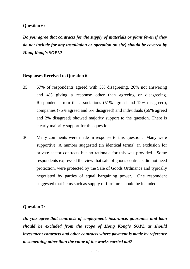#### **Question 6:**

*Do you agree that contracts for the supply of materials or plant (even if they do not include for any installation or operation on site) should be covered by Hong Kong's SOPL?* 

#### **Responses Received to Question 6**

- 35. 67% of respondents agreed with 3% disagreeing, 26% not answering and 4% giving a response other than agreeing or disagreeing. Respondents from the associations (51% agreed and 12% disagreed), companies (76% agreed and 6% disagreed) and individuals (66% agreed and 2% disagreed) showed majority support to the question. There is clearly majority support for this question.
- 36. Many comments were made in response to this question. Many were supportive. A number suggested (in identical terms) an exclusion for private sector contracts but no rationale for this was provided. Some respondents expressed the view that sale of goods contracts did not need protection, were protected by the Sale of Goods Ordinance and typically negotiated by parties of equal bargaining power. One respondent suggested that items such as supply of furniture should be included.

#### **Question 7:**

*Do you agree that contracts of employment, insurance, guarantee and loan should be excluded from the scope of Hong Kong's SOPL as should investment contracts and other contracts where payment is made by reference to something other than the value of the works carried out?*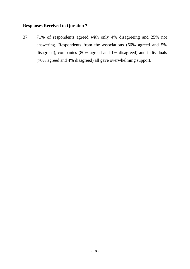### **Responses Received to Question 7**

37. 71% of respondents agreed with only 4% disagreeing and 25% not answering. Respondents from the associations (66% agreed and 5% disagreed), companies (80% agreed and 1% disagreed) and individuals (70% agreed and 4% disagreed) all gave overwhelming support.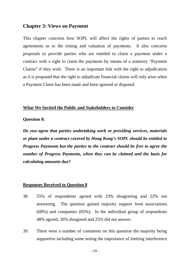#### **Chapter 3: Views on Payment**

This chapter concerns how SOPL will affect the rights of parties to reach agreements as to the timing and valuation of payments. It also concerns proposals to provide parties who are entitled to claim a payment under a contract with a right to claim the payments by means of a statutory "Payment Claims" if they wish. There is an important link with the right to adjudication as it is proposed that the right to adjudicate financial claims will only arise when a Payment Claim has been made and been ignored or disputed.

#### **What We Invited the Public and Stakeholders to Consider**

#### **Question 8:**

*Do you agree that parties undertaking work or providing services, materials or plant under a contract covered by Hong Kong's SOPL should be entitled to Progress Payments but the parties to the contract should be free to agree the number of Progress Payments, when they can be claimed and the basis for calculating amounts due?* 

#### **Responses Received to Question 8**

- 38. 55% of respondents agreed with 23% disagreeing and 22% not answering. The question gained majority support from associations (68%) and companies (85%). In the individual group of respondents 48% agreed, 26% disagreed and 25% did not answer.
- 39. There were a number of comments on this question the majority being supportive including some noting the importance of limiting interference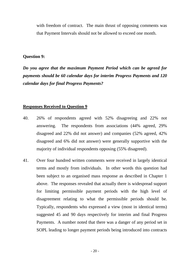with freedom of contract. The main thrust of opposing comments was that Payment Intervals should not be allowed to exceed one month.

#### **Question 9:**

*Do you agree that the maximum Payment Period which can be agreed for payments should be 60 calendar days for interim Progress Payments and 120 calendar days for final Progress Payments?* 

#### **Responses Received to Question 9**

- 40. 26% of respondents agreed with 52% disagreeing and 22% not answering. The respondents from associations (44% agreed, 29% disagreed and 22% did not answer) and companies (52% agreed, 42% disagreed and 6% did not answer) were generally supportive with the majority of individual respondents opposing (55% disagreed).
- 41. Over four hundred written comments were received in largely identical terms and mostly from individuals. In other words this question had been subject to an organised mass response as described in Chapter 1 above. The responses revealed that actually there is widespread support for limiting permissible payment periods with the high level of disagreement relating to what the permissible periods should be. Typically, respondents who expressed a view (most in identical terms) suggested 45 and 90 days respectively for interim and final Progress Payments. A number noted that there was a danger of any period set in SOPL leading to longer payment periods being introduced into contracts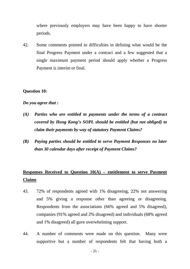where previously employers may have been happy to have shorter periods.

42. Some comments pointed to difficulties in defining what would be the final Progress Payment under a contract and a few suggested that a single maximum payment period should apply whether a Progress Payment is interim or final.

#### **Question 10:**

#### *Do you agree that :*

- *(A) Parties who are entitled to payments under the terms of a contract covered by Hong Kong's SOPL should be entitled (but not obliged) to claim their payments by way of statutory Payment Claims?*
- *(B) Paying parties should be entitled to serve Payment Responses no later than 30 calendar days after receipt of Payment Claims?*

# **Responses Received to Question 10(A) – entitlement to serve Payment Claims**

- 43. 72% of respondents agreed with 1% disagreeing, 22% not answering and 5% giving a response other than agreeing or disagreeing. Respondents from the associations (66% agreed and 5% disagreed), companies (91% agreed and 2% disagreed) and individuals (68% agreed and 1% disagreed) all gave overwhelming support.
- 44. A number of comments were made on this question. Many were supportive but a number of respondents felt that having both a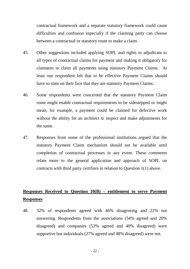contractual framework and a separate statutory framework could cause difficulties and confusion especially if the claiming party can choose between a contractual or statutory route to make a claim.

- 45. Other suggestions included applying SOPL and rights to adjudicate to all types of contractual claims for payment and making it obligatory for claimants to claim all payments using statutory Payment Claims. At least one respondent felt that to be effective Payment Claims should have to state on their face that they are statutory Payment Claims.
- 46. Some respondents were concerned that the statutory Payment Claim route might enable contractual requirements to be sidestepped or might mean, for example, a payment could be claimed for defective work without the ability for an architect to inspect and make adjustments for the same.
- 47. Responses from some of the professional institutions argued that the statutory Payment Claim mechanism should not be available until completion of contractual processes in any event. These comments relate more to the general application and approach of SOPL on contracts with third party certifiers in relation to Question 1(1) above.

## **Responses Received to Question 10(B) – entitlement to serve Payment Responses**

48. 32% of respondents agreed with 46% disagreeing and 22% not answering. Respondents from the associations (54% agreed and 20% disagreed) and companies (53% agreed and 40% disagreed) were supportive but individuals (27% agreed and 48% disagreed) were not.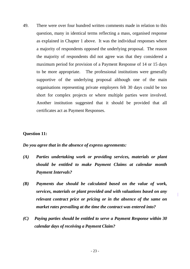49. There were over four hundred written comments made in relation to this question, many in identical terms reflecting a mass, organised response as explained in Chapter 1 above. It was the individual responses where a majority of respondents opposed the underlying proposal. The reason the majority of respondents did not agree was that they considered a maximum period for provision of a Payment Response of 14 or 15 days to be more appropriate. The professional institutions were generally supportive of the underlying proposal although one of the main organisations representing private employers felt 30 days could be too short for complex projects or where multiple parties were involved. Another institution suggested that it should be provided that all certificates act as Payment Responses.

#### **Question 11:**

*Do you agree that in the absence of express agreements:* 

- *(A) Parties undertaking work or providing services, materials or plant should be entitled to make Payment Claims at calendar month Payment Intervals?*
- *(B) Payments due should be calculated based on the value of work, services, materials or plant provided and with valuations based on any relevant contract price or pricing or in the absence of the same on market rates prevailing at the time the contract was entered into?*

I

*(C) Paying parties should be entitled to serve a Payment Response within 30 calendar days of receiving a Payment Claim?*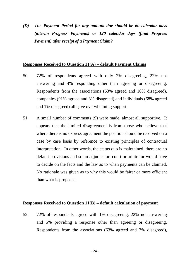*(D) The Payment Period for any amount due should be 60 calendar days (interim Progress Payments) or 120 calendar days (final Progress Payment) after receipt of a Payment Claim?* 

#### **Responses Received to Question 11(A) – default Payment Claims**

- 50. 72% of respondents agreed with only 2% disagreeing, 22% not answering and 4% responding other than agreeing or disagreeing. Respondents from the associations (63% agreed and 10% disagreed), companies (91% agreed and 3% disagreed) and individuals (68% agreed and 1% disagreed) all gave overwhelming support.
- 51. A small number of comments (9) were made, almost all supportive. It appears that the limited disagreement is from those who believe that where there is no express agreement the position should be resolved on a case by case basis by reference to existing principles of contractual interpretation. In other words, the status quo is maintained, there are no default provisions and so an adjudicator, court or arbitrator would have to decide on the facts and the law as to when payments can be claimed. No rationale was given as to why this would be fairer or more efficient than what is proposed.

#### **Responses Received to Question 11(B) – default calculation of payment**

52. 72% of respondents agreed with 1% disagreeing, 22% not answering and 5% providing a response other than agreeing or disagreeing. Respondents from the associations (63% agreed and 7% disagreed),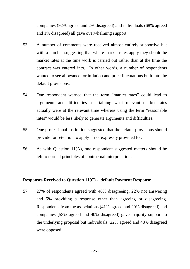companies (92% agreed and 2% disagreed) and individuals (68% agreed and 1% disagreed) all gave overwhelming support.

- 53. A number of comments were received almost entirely supportive but with a number suggesting that where market rates apply they should be market rates at the time work is carried out rather than at the time the contract was entered into. In other words, a number of respondents wanted to see allowance for inflation and price fluctuations built into the default provisions.
- 54. One respondent warned that the term "market rates" could lead to arguments and difficulties ascertaining what relevant market rates actually were at the relevant time whereas using the term "reasonable rates" would be less likely to generate arguments and difficulties.
- 55. One professional institution suggested that the default provisions should provide for retention to apply if not expressly provided for.
- 56. As with Question 11(A), one respondent suggested matters should be left to normal principles of contractual interpretation.

#### **Responses Received to Question 11(C) - default Payment Response**

57. 27% of respondents agreed with 46% disagreeing, 22% not answering and 5% providing a response other than agreeing or disagreeing. Respondents from the associations (41% agreed and 29% disagreed) and companies (53% agreed and 40% disagreed) gave majority support to the underlying proposal but individuals (22% agreed and 48% disagreed) were opposed.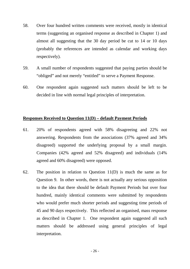- 58. Over four hundred written comments were received, mostly in identical terms (suggesting an organised response as described in Chapter 1) and almost all suggesting that the 30 day period be cut to 14 or 10 days (probably the references are intended as calendar and working days respectively).
- 59. A small number of respondents suggested that paying parties should be "obliged" and not merely "entitled" to serve a Payment Response.
- 60. One respondent again suggested such matters should be left to be decided in line with normal legal principles of interpretation.

#### **Responses Received to Question 11(D) – default Payment Periods**

- 61. 20% of respondents agreed with 58% disagreeing and 22% not answering. Respondents from the associations (37% agreed and 34% disagreed) supported the underlying proposal by a small margin. Companies (42% agreed and 52% disagreed) and individuals (14% agreed and 60% disagreed) were opposed.
- 62. The position in relation to Question 11(D) is much the same as for Question 9. In other words, there is not actually any serious opposition to the idea that there should be default Payment Periods but over four hundred, mainly identical comments were submitted by respondents who would prefer much shorter periods and suggesting time periods of 45 and 90 days respectively. This reflected an organised, mass response as described in Chapter 1. One respondent again suggested all such matters should be addressed using general principles of legal interpretation.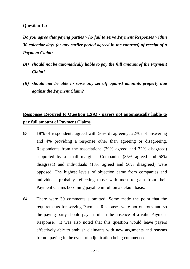#### **Question 12:**

*Do you agree that paying parties who fail to serve Payment Responses within 30 calendar days (or any earlier period agreed in the contract) of receipt of a Payment Claim:* 

- *(A) should not be automatically liable to pay the full amount of the Payment Claim?*
- *(B) should not be able to raise any set off against amounts properly due against the Payment Claim?*

## **Responses Received to Question 12(A) - payers not automatically liable to pay full amount of Payment Claims**

- 63. 18% of respondents agreed with 56% disagreeing, 22% not answering and 4% providing a response other than agreeing or disagreeing. Respondents from the associations (39% agreed and 32% disagreed) supported by a small margin. Companies (35% agreed and 58% disagreed) and individuals (13% agreed and 56% disagreed) were opposed. The highest levels of objection came from companies and individuals probably reflecting those with most to gain from their Payment Claims becoming payable in full on a default basis.
- 64. There were 39 comments submitted. Some made the point that the requirements for serving Payment Responses were not onerous and so the paying party should pay in full in the absence of a valid Payment Response. It was also noted that this question would leave payers effectively able to ambush claimants with new arguments and reasons for not paying in the event of adjudication being commenced.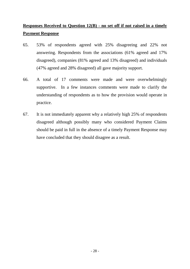## **Responses Received to Question 12(B) - no set off if not raised in a timely Payment Response**

- 65. 53% of respondents agreed with 25% disagreeing and 22% not answering. Respondents from the associations (61% agreed and 17% disagreed), companies (81% agreed and 13% disagreed) and individuals (47% agreed and 28% disagreed) all gave majority support.
- 66. A total of 17 comments were made and were overwhelmingly supportive. In a few instances comments were made to clarify the understanding of respondents as to how the provision would operate in practice.
- 67. It is not immediately apparent why a relatively high 25% of respondents disagreed although possibly many who considered Payment Claims should be paid in full in the absence of a timely Payment Response may have concluded that they should disagree as a result.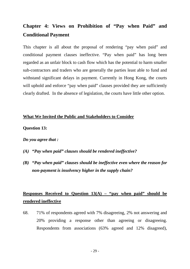# **Chapter 4: Views on Prohibition of "Pay when Paid" and Conditional Payment**

This chapter is all about the proposal of rendering "pay when paid" and conditional payment clauses ineffective. "Pay when paid" has long been regarded as an unfair block to cash flow which has the potential to harm smaller sub-contractors and traders who are generally the parties least able to fund and withstand significant delays in payment. Currently in Hong Kong, the courts will uphold and enforce "pay when paid" clauses provided they are sufficiently clearly drafted. In the absence of legislation, the courts have little other option.

#### **What We Invited the Public and Stakeholders to Consider**

#### **Question 13:**

#### *Do you agree that :*

- *(A) "Pay when paid" clauses should be rendered ineffective?*
- *(B) "Pay when paid" clauses should be ineffective even where the reason for non-payment is insolvency higher in the supply chain?*

### **Responses Received to Question 13(A) – "pay when paid" should be rendered ineffective**

68. 71% of respondents agreed with 7% disagreeing, 2% not answering and 20% providing a response other than agreeing or disagreeing. Respondents from associations (63% agreed and 12% disagreed),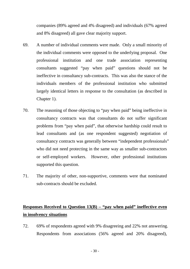companies (89% agreed and 4% disagreed) and individuals (67% agreed and 8% disagreed) all gave clear majority support.

- 69. A number of individual comments were made. Only a small minority of the individual comments were opposed to the underlying proposal. One professional institution and one trade association representing consultants suggested "pay when paid" questions should not be ineffective in consultancy sub-contracts. This was also the stance of the individuals members of the professional institution who submitted largely identical letters in response to the consultation (as described in Chapter 1).
- 70. The reasoning of those objecting to "pay when paid" being ineffective in consultancy contracts was that consultants do not suffer significant problems from "pay when paid", that otherwise hardship could result to lead consultants and (as one respondent suggested) negotiation of consultancy contracts was generally between "independent professionals" who did not need protecting in the same way as smaller sub-contractors or self-employed workers. However, other professional institutions supported this question.
- 71. The majority of other, non-supportive, comments were that nominated sub-contracts should be excluded.

### **Responses Received to Question 13(B) – "pay when paid" ineffective even in insolvency situations**

72. 69% of respondents agreed with 9% disagreeing and 22% not answering. Respondents from associations (56% agreed and 20% disagreed),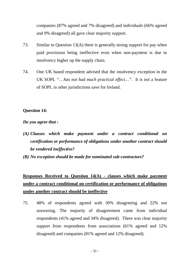companies (87% agreed and 7% disagreed) and individuals (66% agreed and 9% disagreed) all gave clear majority support.

- 73. Similar to Question 13(A) there is generally strong support for pay when paid provisions being ineffective even when non-payment is due to insolvency higher up the supply chain.
- 74. One UK based respondent advised that the insolvency exception in the UK SOPL *"*…*has not had much practical effect…"*. It is not a feature of SOPL in other jurisdictions save for Ireland.

#### **Question 14:**

*Do you agree that :*

- *(A) Clauses which make payment under a contract conditional on certification or performance of obligations under another contract should be rendered ineffective?*
- *(B) No exception should be made for nominated sub-contractors?*

# **Responses Received to Question 14(A) - clauses which make payment under a contract conditional on certification or performance of obligations under another contract should be ineffective**

75. 48% of respondents agreed with 30% disagreeing and 22% not answering. The majority of disagreement came from individual respondents (41% agreed and 34% disagreed). There was clear majority support from respondents from associations (61% agreed and 12%) disagreed) and companies (81% agreed and 12% disagreed).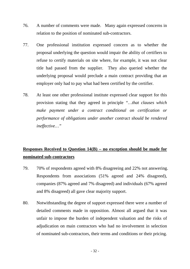- 76. A number of comments were made. Many again expressed concerns in relation to the position of nominated sub-contractors.
- 77. One professional institution expressed concern as to whether the proposal underlying the question would impair the ability of certifiers to refuse to certify materials on site where, for example, it was not clear title had passed from the supplier. They also queried whether the underlying proposal would preclude a main contract providing that an employer only had to pay what had been certified by the certifier.
- 78. At least one other professional institute expressed clear support for this provision stating that they agreed in principle *"…that clauses which make payment under a contract conditional on certification or performance of obligations under another contract should be rendered ineffective…"*

## **Responses Received to Question 14(B) – no exception should be made for nominated sub-contractors**

- 79. 70% of respondents agreed with 8% disagreeing and 22% not answering. Respondents from associations (51% agreed and 24% disagreed), companies (87% agreed and 7% disagreed) and individuals (67% agreed and 8% disagreed) all gave clear majority support.
- 80. Notwithstanding the degree of support expressed there were a number of detailed comments made in opposition. Almost all argued that it was unfair to impose the burden of independent valuation and the risks of adjudication on main contractors who had no involvement in selection of nominated sub-contractors, their terms and conditions or their pricing.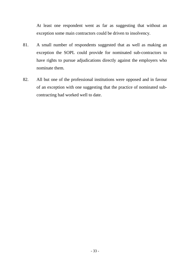At least one respondent went as far as suggesting that without an exception some main contractors could be driven to insolvency.

- 81. A small number of respondents suggested that as well as making an exception the SOPL could provide for nominated sub-contractors to have rights to pursue adjudications directly against the employers who nominate them.
- 82. All but one of the professional institutions were opposed and in favour of an exception with one suggesting that the practice of nominated subcontracting had worked well to date.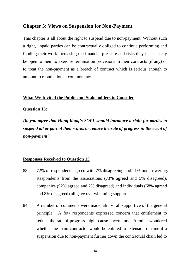### **Chapter 5: Views on Suspension for Non-Payment**

This chapter is all about the right to suspend due to non-payment. Without such a right, unpaid parties can be contractually obliged to continue performing and funding their work increasing the financial pressure and risks they face. It may be open to them to exercise termination provisions in their contracts (if any) or to treat the non-payment as a breach of contract which is serious enough to amount to repudiation at common law.

### **What We Invited the Public and Stakeholders to Consider**

#### **Question 15:**

*Do you agree that Hong Kong's SOPL should introduce a right for parties to suspend all or part of their works or reduce the rate of progress in the event of non-payment?* 

#### **Responses Received to Question 15**

- 83. 72% of respondents agreed with 7% disagreeing and 21% not answering. Respondents from the associations (73% agreed and 5% disagreed), companies (92% agreed and 2% disagreed) and individuals (68% agreed and 8% disagreed) all gave overwhelming support.
- 84. A number of comments were made, almost all supportive of the general principle. A few respondents expressed concern that entitlement to reduce the rate of progress might cause uncertainty. Another wondered whether the main contractor would be entitled to extension of time if a suspension due to non-payment further down the contractual chain led to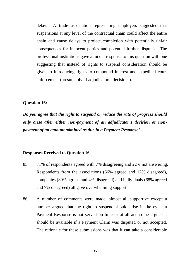delay. A trade association representing employers suggested that suspensions at any level of the contractual chain could affect the entire chain and cause delays to project completion with potentially unfair consequences for innocent parties and potential further disputes. The professional institutions gave a mixed response to this question with one suggesting that instead of rights to suspend consideration should be given to introducing rights to compound interest and expedited court enforcement (presumably of adjudicators' decisions).

#### **Question 16:**

*Do you agree that the right to suspend or reduce the rate of progress should only arise after either non-payment of an adjudicator's decision or nonpayment of an amount admitted as due in a Payment Response?* 

### **Responses Received to Question 16**

- 85. 71% of respondents agreed with 7% disagreeing and 22% not answering. Respondents from the associations (66% agreed and 12% disagreed), companies (89% agreed and 4% disagreed) and individuals (68% agreed and 7% disagreed) all gave overwhelming support.
- 86. A number of comments were made, almost all supportive except a number argued that the right to suspend should arise in the event a Payment Response is not served on time or at all and some argued it should be available if a Payment Claim was disputed or not accepted. The rationale for these submissions was that it can take a considerable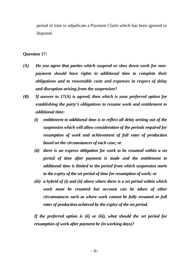period of time to adjudicate a Payment Claim which has been ignored or disputed.

### **Question 17:**

- *(A) Do you agree that parties which suspend or slow down work for nonpayment should have rights to additional time to complete their obligations and to reasonable costs and expenses in respect of delay and disruption arising from the suspension?*
- *(B) If answer to 17(A) is agreed, then which is your preferred option for establishing the party's obligations to resume work and entitlement to additional time:*
	- *(i) entitlement to additional time is to reflect all delay arising out of the suspension which will allow consideration of the periods required for resumption of work and achievement of full rates of production based on the circumstances of each case; or*
	- *(ii) there is an express obligation for work to be resumed within a set period of time after payment is made and the entitlement to additional time is limited to the period from which suspension starts to the expiry of the set period of time for resumption of work; or*
	- *(iii) a hybrid of (i) and (ii) above where there is a set period within which work must be resumed but account can be taken of other circumstances such as where work cannot be fully resumed or full rates of production achieved by the expiry of the set period.*

*If the preferred option is (ii) or (iii), what should the set period for resumption of work after payment be (in working days)?*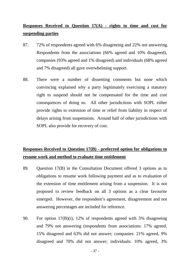# **Responses Received to Question 17(A) - rights to time and cost for suspending parties**

- 87. 72% of respondents agreed with 6% disagreeing and 22% not answering. Respondents from the associations (66% agreed and 10% disagreed), companies (93% agreed and 1% disagreed) and individuals (68% agreed and 7% disagreed) all gave overwhelming support.
- 88. There were a number of dissenting comments but none which convincing explained why a party legitimately exercising a statutory right to suspend should not be compensated for the time and cost consequences of doing so. All other jurisdictions with SOPL either provide rights to extension of time or relief from liability in respect of delays arising from suspensions. Around half of other jurisdictions with SOPL also provide for recovery of cost.

# **Responses Received to Question 17(B) - preferred option for obligations to resume work and method to evaluate time entitlement**

- 89. Question 17(B) in the Consultation Document offered 3 options as to obligations to resume work following payment and as to evaluation of the extension of time entitlement arising from a suspension. It is not proposed to review feedback on all 3 options as a clear favourite emerged. However, the respondent's agreement, disagreement and not answering percentages are included for reference.
- 90. For option 17(B)(i), 12% of respondents agreed with 5% disagreeing and 79% not answering (respondents from associations: 17% agreed, 15% disagreed and 63% did not answer; companies: 21% agreed, 9% disagreed and 70% did not answer; individuals: 10% agreed, 3%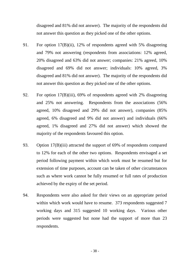disagreed and 81% did not answer). The majority of the respondents did not answer this question as they picked one of the other options.

- 91. For option 17(B)(ii), 12% of respondents agreed with 5% disagreeing and 79% not answering (respondents from associations: 12% agreed, 20% disagreed and 63% did not answer; companies: 21% agreed, 10% disagreed and 69% did not answer; individuals: 10% agreed, 3% disagreed and 81% did not answer). The majority of the respondents did not answer this question as they picked one of the other options.
- 92. For option 17(B)(iii), 69% of respondents agreed with 2% disagreeing and 25% not answering. Respondents from the associations (56% agreed, 10% disagreed and 29% did not answer), companies (85% agreed, 6% disagreed and 9% did not answer) and individuals (66% agreed, 1% disagreed and 27% did not answer) which showed the majority of the respondents favoured this option.
- 93. Option 17(B)(iii) attracted the support of 69% of respondents compared to 12% for each of the other two options. Respondents envisaged a set period following payment within which work must be resumed but for extension of time purposes, account can be taken of other circumstances such as where work cannot be fully resumed or full rates of production achieved by the expiry of the set period.
- 94. Respondents were also asked for their views on an appropriate period within which work would have to resume. 373 respondents suggested 7 working days and 315 suggested 10 working days. Various other periods were suggested but none had the support of more than 23 respondents.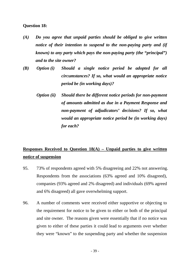### **Question 18:**

- *(A) Do you agree that unpaid parties should be obliged to give written notice of their intention to suspend to the non-paying party and (if known) to any party which pays the non-paying party (the "principal") and to the site owner?*
- *(B) Option (i) Should a single notice period be adopted for all circumstances? If so, what would an appropriate notice period be (in working days)?*
	- *Option (ii) Should there be different notice periods for non-payment of amounts admitted as due in a Payment Response and non-payment of adjudicators' decisions? If so, what would an appropriate notice period be (in working days) for each?*

# **Responses Received to Question 18(A) – Unpaid parties to give written notice of suspension**

- 95. 73% of respondents agreed with 5% disagreeing and 22% not answering. Respondents from the associations (63% agreed and 10% disagreed), companies (93% agreed and 2% disagreed) and individuals (69% agreed and 6% disagreed) all gave overwhelming support.
- 96. A number of comments were received either supportive or objecting to the requirement for notice to be given to either or both of the principal and site owner. The reasons given were essentially that if no notice was given to either of these parties it could lead to arguments over whether they were "known" to the suspending party and whether the suspension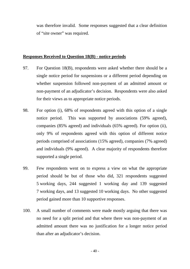was therefore invalid. Some responses suggested that a clear definition of "site owner" was required.

### **Responses Received to Question 18(B) - notice periods**

- 97. For Question 18(B), respondents were asked whether there should be a single notice period for suspensions or a different period depending on whether suspension followed non-payment of an admitted amount or non-payment of an adjudicator's decision. Respondents were also asked for their views as to appropriate notice periods.
- 98. For option (i), 68% of respondents agreed with this option of a single notice period. This was supported by associations (59% agreed), companies (85% agreed) and individuals (65% agreed). For option (ii), only 9% of respondents agreed with this option of different notice periods comprised of associations (15% agreed), companies (7% agreed) and individuals (9% agreed). A clear majority of respondents therefore supported a single period.
- 99. Few respondents went on to express a view on what the appropriate period should be but of those who did, 321 respondents suggested 5 working days, 244 suggested 1 working day and 139 suggested 7 working days, and 13 suggested 10 working days. No other suggested period gained more than 10 supportive responses.
- 100. A small number of comments were made mostly arguing that there was no need for a split period and that where there was non-payment of an admitted amount there was no justification for a longer notice period than after an adjudicator's decision.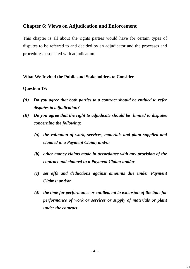# **Chapter 6: Views on Adjudication and Enforcement**

This chapter is all about the rights parties would have for certain types of disputes to be referred to and decided by an adjudicator and the processes and procedures associated with adjudication.

# **What We Invited the Public and Stakeholders to Consider**

# **Question 19:**

- *(A) Do you agree that both parties to a contract should be entitled to refer disputes to adjudication?*
- *(B) Do you agree that the right to adjudicate should be limited to disputes concerning the following:*
	- *(a) the valuation of work, services, materials and plant supplied and claimed in a Payment Claim; and/or*
	- *(b) other money claims made in accordance with any provision of the contract and claimed in a Payment Claim; and/or*
	- *(c) set offs and deductions against amounts due under Payment Claims; and/or*
	- *(d) the time for performance or entitlement to extension of the time for performance of work or services or supply of materials or plant under the contract.*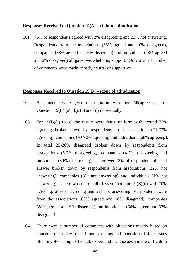#### **Responses Received to Question 19(A) – right to adjudication**

101. 76% of respondents agreed with 2% disagreeing and 22% not answering. Respondents from the associations (68% agreed and 10% disagreed), companies (88% agreed and 6% disagreed) and individuals (73% agreed and 2% disagreed) all gave overwhelming support. Only a small number of comments were made, mostly neutral or supportive.

#### **Responses Received to Question 19(B) – scope of adjudication**

- 102. Respondents were given the opportunity to agree/disagree each of Question 19(B) (a), (b), (c) and (d) individually.
- 103. For 19(B)(a) to (c) the results were fairly uniform with around 72% agreeing broken down by respondents from associations (71-73% agreeing), companies (90-92% agreeing) and individuals (68% agreeing). In total 25-26% disagreed broken down by respondents from associations (5-7% disagreeing), companies (4-7% disagreeing and individuals (30% disagreeing). There were 2% of respondents did not answer broken down by respondents from associations (22% not answering), companies (3% not answering) and individuals (1% not answering). There was marginally less support for 19(B)(d) with 70% agreeing, 28% disagreeing and 2% not answering. Respondents were from the associations (63% agreed and 10% disagreed), companies (88% agreed and 9% disagreed) and individuals (66% agreed and 32% disagreed).
- 104. There were a number of comments with objections mostly based on concerns that delay related money claims and extension of time issues often involve complex factual, expert and legal issues and are difficult to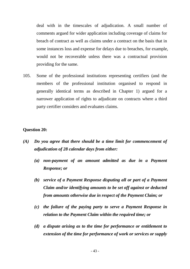deal with in the timescales of adjudication. A small number of comments argued for wider application including coverage of claims for breach of contract as well as claims under a contract on the basis that in some instances loss and expense for delays due to breaches, for example, would not be recoverable unless there was a contractual provision providing for the same.

105. Some of the professional institutions representing certifiers (and the members of the professional institution organised to respond in generally identical terms as described in Chapter 1) argued for a narrower application of rights to adjudicate on contracts where a third party certifier considers and evaluates claims.

### **Question 20:**

- *(A) Do you agree that there should be a time limit for commencement of adjudication of 28 calendar days from either:*
	- *(a) non-payment of an amount admitted as due in a Payment Response; or*
	- *(b) service of a Payment Response disputing all or part of a Payment Claim and/or identifying amounts to be set off against or deducted from amounts otherwise due in respect of the Payment Claim; or*
	- *(c) the failure of the paying party to serve a Payment Response in relation to the Payment Claim within the required time; or*
	- *(d) a dispute arising as to the time for performance or entitlement to extension of the time for performance of work or services or supply*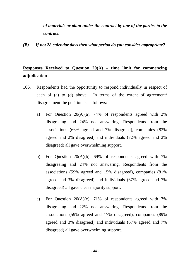*of materials or plant under the contract by one of the parties to the contract.*

*(B) If not 28 calendar days then what period do you consider appropriate?* 

# **Responses Received to Question 20(A) – time limit for commencing adjudication**

- 106. Respondents had the opportunity to respond individually in respect of each of (a) to (d) above. In terms of the extent of agreement/ disagreement the position is as follows:
	- a) For Question 20(A)(a), 74% of respondents agreed with 2% disagreeing and 24% not answering. Respondents from the associations (66% agreed and 7% disagreed), companies (83% agreed and 2% disagreed) and individuals (72% agreed and 2% disagreed) all gave overwhelming support.
	- b) For Question 20(A)(b), 69% of respondents agreed with 7% disagreeing and 24% not answering. Respondents from the associations (59% agreed and 15% disagreed), companies (81% agreed and 3% disagreed) and individuals (67% agreed and 7% disagreed) all gave clear majority support.
	- c) For Question 20(A)(c), 71% of respondents agreed with 7% disagreeing and 22% not answering. Respondents from the associations (59% agreed and 17% disagreed), companies (89% agreed and 3% disagreed) and individuals (67% agreed and 7% disagreed) all gave overwhelming support.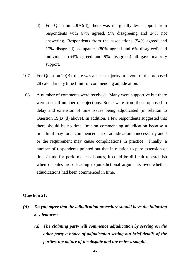- d) For Question 20(A)(d), there was marginally less support from respondents with 67% agreed, 9% disagreeing and 24% not answering. Respondents from the associations (54% agreed and 17% disagreed), companies (80% agreed and 6% disagreed) and individuals (64% agreed and 9% disagreed) all gave majority support.
- 107. For Question 20(B), there was a clear majority in favour of the proposed 28 calendar day time limit for commencing adjudication.
- 108. A number of comments were received. Many were supportive but there were a small number of objections. Some were from those opposed to delay and extension of time issues being adjudicated (in relation to Question 19(B)(d) above). In addition, a few respondents suggested that there should be no time limit on commencing adjudication because a time limit may force commencement of adjudication unnecessarily and / or the requirement may cause complications in practice. Finally, a number of respondents pointed out that in relation to pure extension of time / time for performance disputes, it could be difficult to establish when disputes arose leading to jurisdictional arguments over whether adjudications had been commenced in time.

#### **Question 21:**

- *(A) Do you agree that the adjudication procedure should have the following key features:*
	- *(a) The claiming party will commence adjudication by serving on the other party a notice of adjudication setting out brief details of the parties, the nature of the dispute and the redress sought.*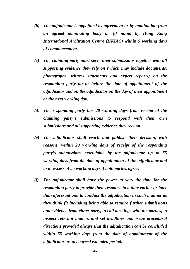- *(b) The adjudicator is appointed by agreement or by nomination from an agreed nominating body or (if none) by Hong Kong International Arbitration Centre (HKIAC) within 5 working days of commencement.*
- *(c) The claiming party must serve their submissions together with all supporting evidence they rely on (which may include documents, photographs, witness statements and expert reports) on the responding party on or before the date of appointment of the adjudicator and on the adjudicator on the day of their appointment or the next working day.*
- *(d) The responding party has 20 working days from receipt of the claiming party's submissions to respond with their own submissions and all supporting evidence they rely on.*
- *(e) The adjudicator shall reach and publish their decision, with reasons, within 20 working days of receipt of the responding party's submissions extendable by the adjudicator up to 55 working days from the date of appointment of the adjudicator and to in excess of 55 working days if both parties agree.*
- *(f) The adjudicator shall have the power to vary the time for the responding party to provide their response to a time earlier or later than aforesaid and to conduct the adjudication in such manner as they think fit including being able to require further submissions and evidence from either party, to call meetings with the parties, to inspect relevant matters and set deadlines and issue procedural directions provided always that the adjudication can be concluded within 55 working days from the date of appointment of the adjudicator or any agreed extended period.*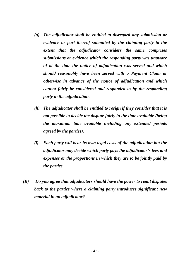- *(g) The adjudicator shall be entitled to disregard any submission or evidence or part thereof submitted by the claiming party to the extent that the adjudicator considers the same comprises submissions or evidence which the responding party was unaware of at the time the notice of adjudication was served and which should reasonably have been served with a Payment Claim or otherwise in advance of the notice of adjudication and which cannot fairly be considered and responded to by the responding party in the adjudication.*
- *(h) The adjudicator shall be entitled to resign if they consider that it is not possible to decide the dispute fairly in the time available (being the maximum time available including any extended periods agreed by the parties).*
- *(i) Each party will bear its own legal costs of the adjudication but the adjudicator may decide which party pays the adjudicator's fees and expenses or the proportions in which they are to be jointly paid by the parties.*
- *(B) Do you agree that adjudicators should have the power to remit disputes back to the parties where a claiming party introduces significant new material in an adjudicator?*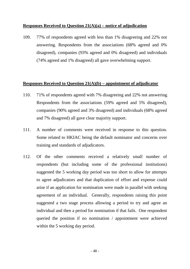### **Responses Received to Question 21(A)(a) – notice of adjudication**

109. 77% of respondents agreed with less than 1% disagreeing and 22% not answering. Respondents from the associations (68% agreed and 0% disagreed), companies (93% agreed and 0% disagreed) and individuals (74% agreed and 1% disagreed) all gave overwhelming support.

### **Responses Received to Question 21(A)(b) – appointment of adjudicator**

- 110. 71% of respondents agreed with 7% disagreeing and 22% not answering. Respondents from the associations (59% agreed and 5% disagreed), companies (90% agreed and 3% disagreed) and individuals (68% agreed and 7% disagreed) all gave clear majority support.
- 111. A number of comments were received in response to this question. Some related to HKIAC being the default nominator and concerns over training and standards of adjudicators.
- 112. Of the other comments received a relatively small number of respondents (but including some of the professional institutions) suggested the 5 working day period was too short to allow for attempts to agree adjudicators and that duplication of effort and expense could arise if an application for nomination were made in parallel with seeking agreement of an individual. Generally, respondents raising this point suggested a two stage process allowing a period to try and agree an individual and then a period for nomination if that fails. One respondent queried the position if no nomination / appointment were achieved within the 5 working day period.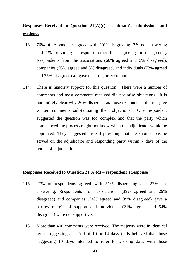# **Responses Received to Question 21(A)(c) – claimant's submissions and evidence**

- 113. 76% of respondents agreed with 20% disagreeing, 3% not answering and 1% providing a response other than agreeing or disagreeing. Respondents from the associations (66% agreed and 5% disagreed), companies (93% agreed and 3% disagreed) and individuals (73% agreed and 25% disagreed) all gave clear majority support.
- 114. There is majority support for this question. There were a number of comments and most comments received did not raise objections. It is not entirely clear why 20% disagreed as those respondents did not give written comments substantiating their objections. One respondent suggested the question was too complex and that the party which commenced the process might not know when the adjudicator would be appointed. They suggested instead providing that the submissions be served on the adjudicator and responding party within 7 days of the notice of adjudication.

#### **Responses Received to Question 21(A)(d) – respondent's response**

- 115. 27% of respondents agreed with 51% disagreeing and 22% not answering. Respondents from associations (39% agreed and 29% disagreed) and companies (54% agreed and 39% disagreed) gave a narrow margin of support and individuals (21% agreed and 54% disagreed) were not supportive.
- 116. More than 400 comments were received. The majority were in identical terms suggesting a period of 10 or 14 days (it is believed that those suggesting 10 days intended to refer to working days with those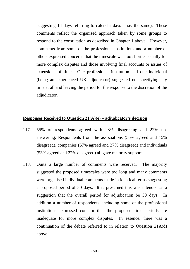suggesting 14 days referring to calendar days  $-$  i.e. the same). These comments reflect the organised approach taken by some groups to respond to the consultation as described in Chapter 1 above. However, comments from some of the professional institutions and a number of others expressed concerns that the timescale was too short especially for more complex disputes and those involving final accounts or issues of extensions of time. One professional institution and one individual (being an experienced UK adjudicator) suggested not specifying any time at all and leaving the period for the response to the discretion of the adjudicator.

### **Responses Received to Question 21(A)(e) – adjudicator's decision**

- 117. 55% of respondents agreed with 23% disagreeing and 22% not answering. Respondents from the associations (56% agreed and 15% disagreed), companies (67% agreed and 27% disagreed) and individuals (53% agreed and 22% disagreed) all gave majority support.
- 118. Quite a large number of comments were received. The majority suggested the proposed timescales were too long and many comments were organised individual comments made in identical terms suggesting a proposed period of 30 days. It is presumed this was intended as a suggestion that the overall period for adjudication be 30 days. In addition a number of respondents, including some of the professional institutions expressed concern that the proposed time periods are inadequate for more complex disputes. In essence, there was a continuation of the debate referred to in relation to Question 21A(d) above.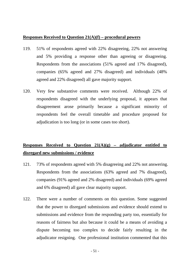### **Responses Received to Question 21(A)(f) – procedural powers**

- 119. 51% of respondents agreed with 22% disagreeing, 22% not answering and 5% providing a response other than agreeing or disagreeing. Respondents from the associations (51% agreed and 17% disagreed), companies (65% agreed and 27% disagreed) and individuals (48% agreed and 22% disagreed) all gave majority support.
- 120. Very few substantive comments were received. Although 22% of respondents disagreed with the underlying proposal, it appears that disagreement arose primarily because a significant minority of respondents feel the overall timetable and procedure proposed for adjudication is too long (or in some cases too short).

# **Responses Received to Question 21(A)(g) – adjudicator entitled to disregard new submissions / evidence**

- 121. 73% of respondents agreed with 5% disagreeing and 22% not answering. Respondents from the associations (63% agreed and 7% disagreed), companies (91% agreed and 2% disagreed) and individuals (69% agreed and 6% disagreed) all gave clear majority support.
- 122. There were a number of comments on this question. Some suggested that the power to disregard submissions and evidence should extend to submissions and evidence from the responding party too, essentially for reasons of fairness but also because it could be a means of avoiding a dispute becoming too complex to decide fairly resulting in the adjudicator resigning. One professional institution commented that this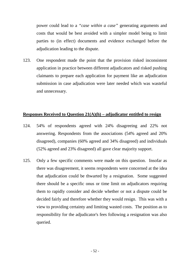power could lead to a *"case within a case"* generating arguments and costs that would be best avoided with a simpler model being to limit parties to (in effect) documents and evidence exchanged before the adjudication leading to the dispute.

123. One respondent made the point that the provision risked inconsistent application in practice between different adjudicators and risked pushing claimants to prepare each application for payment like an adjudication submission in case adjudication were later needed which was wasteful and unnecessary.

### **Responses Received to Question 21(A)(h) – adjudicator entitled to resign**

- 124. 54% of respondents agreed with 24% disagreeing and 22% not answering. Respondents from the associations (54% agreed and 20% disagreed), companies (60% agreed and 34% disagreed) and individuals (52% agreed and 23% disagreed) all gave clear majority support.
- 125. Only a few specific comments were made on this question. Insofar as there was disagreement, it seems respondents were concerned at the idea that adjudication could be thwarted by a resignation. Some suggested there should be a specific onus or time limit on adjudicators requiring them to rapidly consider and decide whether or not a dispute could be decided fairly and therefore whether they would resign. This was with a view to providing certainty and limiting wasted costs. The position as to responsibility for the adjudicator's fees following a resignation was also queried.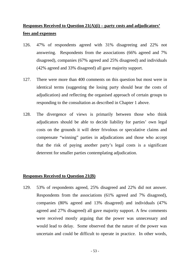# **Responses Received to Question 21(A)(i) – party costs and adjudicators' fees and expenses**

- 126. 47% of respondents agreed with 31% disagreeing and 22% not answering. Respondents from the associations (66% agreed and 7% disagreed), companies (67% agreed and 25% disagreed) and individuals (42% agreed and 33% disagreed) all gave majority support.
- 127. There were more than 400 comments on this question but most were in identical terms (suggesting the losing party should bear the costs of adjudication) and reflecting the organised approach of certain groups to responding to the consultation as described in Chapter 1 above.
- 128. The divergence of views is primarily between those who think adjudicators should be able to decide liability for parties' own legal costs on the grounds it will deter frivolous or speculative claims and compensate "winning" parties in adjudications and those who accept that the risk of paying another party's legal costs is a significant deterrent for smaller parties contemplating adjudication.

### **Responses Received to Question 21(B)**

129. 53% of respondents agreed, 25% disagreed and 22% did not answer. Respondents from the associations (61% agreed and 7% disagreed), companies (80% agreed and 13% disagreed) and individuals (47% agreed and 27% disagreed) all gave majority support. A few comments were received mostly arguing that the power was unnecessary and would lead to delay. Some observed that the nature of the power was uncertain and could be difficult to operate in practice. In other words,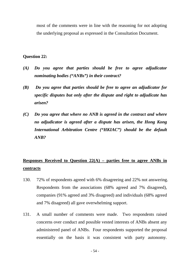most of the comments were in line with the reasoning for not adopting the underlying proposal as expressed in the Consultation Document.

#### **Question 22:**

- *(A) Do you agree that parties should be free to agree adjudicator nominating bodies ("ANBs") in their contract?*
- *(B) Do you agree that parties should be free to agree an adjudicator for specific disputes but only after the dispute and right to adjudicate has arisen?*
- *(C) Do you agree that where no ANB is agreed in the contract and where no adjudicator is agreed after a dispute has arisen, the Hong Kong International Arbitration Centre ("HKIAC") should be the default ANB?*

# **Responses Received to Question 22(A) – parties free to agree ANBs in contracts**

- 130. 72% of respondents agreed with 6% disagreeing and 22% not answering. Respondents from the associations (68% agreed and 7% disagreed), companies (91% agreed and 3% disagreed) and individuals (68% agreed and 7% disagreed) all gave overwhelming support.
- 131. A small number of comments were made. Two respondents raised concerns over conduct and possible vested interests of ANBs absent any administered panel of ANBs. Four respondents supported the proposal essentially on the basis it was consistent with party autonomy.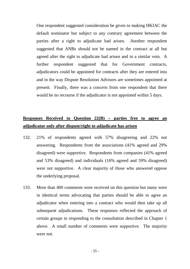One respondent suggested consideration be given to making HKIAC the default nominator but subject to any contrary agreement between the parties after a right to adjudicate had arisen. Another respondent suggested that ANBs should not be named in the contract at all but agreed after the right to adjudicate had arisen and in a similar vein. A further respondent suggested that for Government contracts, adjudicators could be appointed for contracts after they are entered into and in the way Dispute Resolution Advisors are sometimes appointed at present. Finally, there was a concern from one respondent that there would be no recourse if the adjudicator is not appointed within 5 days.

# **Responses Received to Question 22(B) – parties free to agree an adjudicator only after dispute/right to adjudicate has arisen**

- 132. 21% of respondents agreed with 57% disagreeing and 22% not answering. Respondents from the associations (41% agreed and 29% disagreed) were supportive. Respondents from companies (41% agreed and 53% disagreed) and individuals (16% agreed and 59% disagreed) were not supportive. A clear majority of those who answered oppose the underlying proposal.
- 133. More than 400 comments were received on this question but many were in identical terms advocating that parties should be able to agree an adjudicator when entering into a contract who would then take up all subsequent adjudications. These responses reflected the approach of certain groups to responding to the consultation described in Chapter 1 above. A small number of comments were supportive. The majority were not.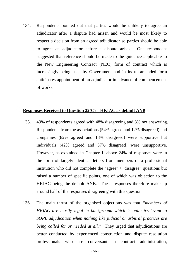134. Respondents pointed out that parties would be unlikely to agree an adjudicator after a dispute had arisen and would be most likely to respect a decision from an agreed adjudicator so parties should be able to agree an adjudicator before a dispute arises. One respondent suggested that reference should be made to the guidance applicable to the New Engineering Contract (NEC) form of contract which is increasingly being used by Government and in its un-amended form anticipates appointment of an adjudicator in advance of commencement of works.

### **Responses Received to Question 22(C) – HKIAC as default ANB**

- 135. 49% of respondents agreed with 48% disagreeing and 3% not answering. Respondents from the associations (54% agreed and 12% disagreed) and companies (82% agreed and 13% disagreed) were supportive but individuals (42% agreed and 57% disagreed) were unsupportive. However, as explained in Chapter 1, above 24% of responses were in the form of largely identical letters from members of a professional institution who did not complete the "agree" / "disagree" questions but raised a number of specific points, one of which was objection to the HKIAC being the default ANB. These responses therefore make up around half of the responses disagreeing with this question.
- 136. The main thrust of the organised objections was that *"members of HKIAC are mostly legal in background which is quite irrelevant to SOPL adjudication when nothing like judicial or arbitral practices are being called for or needed at all."* They urged that adjudications are better conducted by experienced construction and dispute resolution professionals who are conversant in contract administration,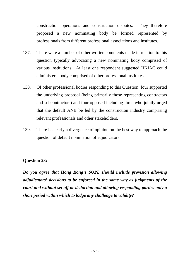construction operations and construction disputes. They therefore proposed a new nominating body be formed represented by professionals from different professional associations and institutes.

- 137. There were a number of other written comments made in relation to this question typically advocating a new nominating body comprised of various institutions. At least one respondent suggested HKIAC could administer a body comprised of other professional institutes.
- 138. Of other professional bodies responding to this Question, four supported the underlying proposal (being primarily those representing contractors and subcontractors) and four opposed including three who jointly urged that the default ANB be led by the construction industry comprising relevant professionals and other stakeholders.
- 139. There is clearly a divergence of opinion on the best way to approach the question of default nomination of adjudicators.

# **Question 23:**

*Do you agree that Hong Kong's SOPL should include provision allowing adjudicators' decisions to be enforced in the same way as judgments of the court and without set off or deduction and allowing responding parties only a short period within which to lodge any challenge to validity?*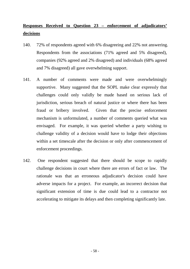# **Responses Received to Question 23 – enforcement of adjudicators' decisions**

- 140. 72% of respondents agreed with 6% disagreeing and 22% not answering. Respondents from the associations (71% agreed and 5% disagreed), companies (92% agreed and 2% disagreed) and individuals (68% agreed and 7% disagreed) all gave overwhelming support.
- 141. A number of comments were made and were overwhelmingly supportive. Many suggested that the SOPL make clear expressly that challenges could only validly be made based on serious lack of jurisdiction, serious breach of natural justice or where there has been fraud or bribery involved. Given that the precise enforcement mechanism is unformulated, a number of comments queried what was envisaged. For example, it was queried whether a party wishing to challenge validity of a decision would have to lodge their objections within a set timescale after the decision or only after commencement of enforcement proceedings.
- 142. One respondent suggested that there should be scope to rapidly challenge decisions in court where there are errors of fact or law. The rationale was that an erroneous adjudicator's decision could have adverse impacts for a project. For example, an incorrect decision that significant extension of time is due could lead to a contractor not accelerating to mitigate its delays and then completing significantly late.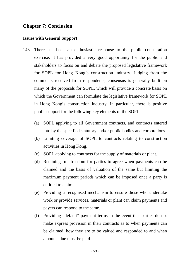# **Chapter 7: Conclusion**

### **Issues with General Support**

- 143. There has been an enthusiastic response to the public consultation exercise. It has provided a very good opportunity for the public and stakeholders to focus on and debate the proposed legislative framework for SOPL for Hong Kong's construction industry. Judging from the comments received from respondents, consensus is generally built on many of the proposals for SOPL, which will provide a concrete basis on which the Government can formulate the legislative framework for SOPL in Hong Kong's construction industry. In particular, there is positive public support for the following key elements of the SOPL:
	- (a) SOPL applying to all Government contracts, and contracts entered into by the specified statutory and/or public bodies and corporations.
	- (b) Limiting coverage of SOPL to contracts relating to construction activities in Hong Kong.
	- (c) SOPL applying to contracts for the supply of materials or plant.
	- (d) Retaining full freedom for parties to agree when payments can be claimed and the basis of valuation of the same but limiting the maximum payment periods which can be imposed once a party is entitled to claim.
	- (e) Providing a recognised mechanism to ensure those who undertake work or provide services, materials or plant can claim payments and payers can respond to the same.
	- (f) Providing "default" payment terms in the event that parties do not make express provision in their contracts as to when payments can be claimed, how they are to be valued and responded to and when amounts due must be paid.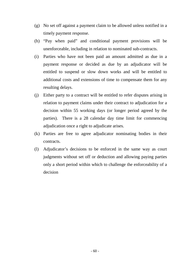- (g) No set off against a payment claim to be allowed unless notified in a timely payment response.
- (h) "Pay when paid" and conditional payment provisions will be unenforceable, including in relation to nominated sub-contracts.
- (i) Parties who have not been paid an amount admitted as due in a payment response or decided as due by an adjudicator will be entitled to suspend or slow down works and will be entitled to additional costs and extensions of time to compensate them for any resulting delays.
- (j) Either party to a contract will be entitled to refer disputes arising in relation to payment claims under their contract to adjudication for a decision within 55 working days (or longer period agreed by the parties). There is a 28 calendar day time limit for commencing adjudication once a right to adjudicate arises.
- (k) Parties are free to agree adjudicator nominating bodies in their contracts.
- (l) Adjudicator's decisions to be enforced in the same way as court judgments without set off or deduction and allowing paying parties only a short period within which to challenge the enforceability of a decision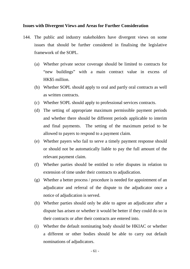### **Issues with Divergent Views and Areas for Further Consideration**

- 144. The public and industry stakeholders have divergent views on some issues that should be further considered in finalising the legislative framework of the SOPL.
	- (a) Whether private sector coverage should be limited to contracts for "new buildings" with a main contract value in excess of HK\$5 million.
	- (b) Whether SOPL should apply to oral and partly oral contracts as well as written contracts.
	- (c) Whether SOPL should apply to professional services contracts.
	- (d) The setting of appropriate maximum permissible payment periods and whether there should be different periods applicable to interim and final payments. The setting of the maximum period to be allowed to payers to respond to a payment claim.
	- (e) Whether payers who fail to serve a timely payment response should or should not be automatically liable to pay the full amount of the relevant payment claim.
	- (f) Whether parties should be entitled to refer disputes in relation to extension of time under their contracts to adjudication.
	- (g) Whether a better process / procedure is needed for appointment of an adjudicator and referral of the dispute to the adjudicator once a notice of adjudication is served.
	- (h) Whether parties should only be able to agree an adjudicator after a dispute has arisen or whether it would be better if they could do so in their contracts or after their contracts are entered into.
	- (i) Whether the default nominating body should be HKIAC or whether a different or other bodies should be able to carry out default nominations of adjudicators.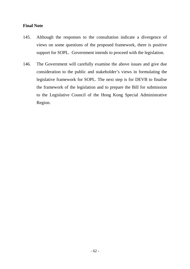## **Final Note**

- 145. Although the responses to the consultation indicate a divergence of views on some questions of the proposed framework, there is positive support for SOPL. Government intends to proceed with the legislation.
- 146. The Government will carefully examine the above issues and give due consideration to the public and stakeholder's views in formulating the legislative framework for SOPL. The next step is for DEVB to finalise the framework of the legislation and to prepare the Bill for submission to the Legislative Council of the Hong Kong Special Administrative Region.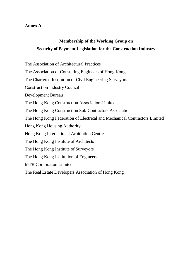### **Annex A**

# **Membership of the Working Group on Security of Payment Legislation for the Construction Industry**

The Association of Architectural Practices

The Association of Consulting Engineers of Hong Kong

The Chartered Institution of Civil Engineering Surveyors

Construction Industry Council

Development Bureau

The Hong Kong Construction Association Limited

The Hong Kong Construction Sub-Contractors Association

The Hong Kong Federation of Electrical and Mechanical Contractors Limited

Hong Kong Housing Authority

Hong Kong International Arbitration Centre

The Hong Kong Institute of Architects

The Hong Kong Institute of Surveyors

The Hong Kong Institution of Engineers

MTR Corporation Limited

The Real Estate Developers Association of Hong Kong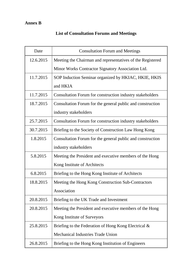# **Annex B**

# **List of Consultation Forums and Meetings**

| Date      | <b>Consultation Forum and Meetings</b>                     |
|-----------|------------------------------------------------------------|
| 12.6.2015 | Meeting the Chairman and representatives of the Registered |
|           | Minor Works Contractor Signatory Association Ltd.          |
| 11.7.2015 | SOP Induction Seminar organized by HKIAC, HKIE, HKIS       |
|           | and HKIA                                                   |
| 11.7.2015 | Consultation Forum for construction industry stakeholders  |
| 18.7.2015 | Consultation Forum for the general public and construction |
|           | industry stakeholders                                      |
| 25.7.2015 | Consultation Forum for construction industry stakeholders  |
| 30.7.2015 | Briefing to the Society of Construction Law Hong Kong      |
| 1.8.2015  | Consultation Forum for the general public and construction |
|           | industry stakeholders                                      |
| 5.8.2015  | Meeting the President and executive members of the Hong    |
|           | Kong Institute of Architects                               |
| 6.8.2015  | Briefing to the Hong Kong Institute of Architects          |
| 18.8.2015 | Meeting the Hong Kong Construction Sub-Contractors         |
|           | Association                                                |
| 20.8.2015 | Briefing to the UK Trade and Investment                    |
| 20.8.2015 | Meeting the President and executive members of the Hong    |
|           | Kong Institute of Surveyors                                |
| 25.8.2015 | Briefing to the Federation of Hong Kong Electrical &       |
|           | <b>Mechanical Industries Trade Union</b>                   |
| 26.8.2015 | Briefing to the Hong Kong Institution of Engineers         |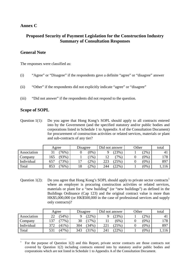### **Annex C**

# **Proposed Security of Payment Legislation for the Construction Industry Summary of Consultation Responses**

## **General Note**

The responses were classified as:

- (i) "Agree" or "Disagree" if the respondents gave a definite "agree" or "disagree" answer
- (ii) "Other" if the respondents did not explicitly indicate "agree" or "disagree"
- (iii) "Did not answer" if the respondents did not respond to the question.

# **Scope of SOPL**

Question 1(1): Do you agree that Hong Kong's SOPL should apply to all contracts entered into by the Government (and the specified statutory and/or public bodies and corporations listed in Schedule 1 to Appendix A of the Consultation Document) for procurement of construction activities or related services, materials or plant and sub-contracts of any tier?

|             | Agree           | Disagree       | Did not answer | Other          | total          |
|-------------|-----------------|----------------|----------------|----------------|----------------|
| Association | $76\%$ )        | $^{\prime}0\%$ | (23%           | $(2\%)$        | 4 <sub>1</sub> |
| Company     | (93%)<br>165    | $1\%$          | $7\%$ ,        | $(0\%)$        | 178            |
| Individual  | $73\%$<br>657   | $2\%$          | (25%<br>223    | $(0\%)$        | 897            |
| Total       | 853<br>$76\%$ ) | $2\%$          | $'22\%$<br>244 | $^{\prime}0\%$ | 1,116          |

Question [1](#page-66-0)(2): Do you agree that Hong Kong's SOPL should apply to private sector contracts<sup>1</sup> where an employer is procuring construction activities or related services, materials or plant for a "new building" (or "new buildings") as defined in the Buildings Ordinance (Cap 123) and the original contract value is more than HK\$5,000,000 (or HK\$500,000 in the case of professional services and supply only contracts)?

|             | Agree           | Disagree        | Did not answer | Other | total |
|-------------|-----------------|-----------------|----------------|-------|-------|
| Association | $(54\%)$<br>າາ  | $^{\prime}22\%$ | (23%           | (2%   |       |
| Company     | 137<br>$77\%$ , | 17%<br>30       | $(6\% )$       | (0%   | 178   |
| Individual  | $(41\%)$<br>372 | 304<br>$34\%$   | (25%           | (0%   | 897   |
| Total       | (47%)<br>531    | 343<br>(31%     | $'22\%$<br>241 | (0%   | .116  |

<span id="page-66-0"></span> $\overline{a}$ <sup>1</sup> For the purpose of Question 1(2) and this Report, private sector contracts are those contracts not covered by Question 1(2) including contracts entered into by statutory and/or public bodies and corporations which are not listed in Schedule 1 to Appendix A of the Consultation Document.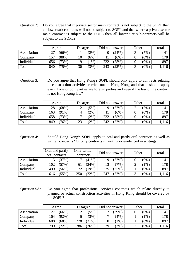Question 2: Do you agree that if private sector main contract is not subject to the SOPL then all lower sub-contracts will not be subject to SOPL and that where a private sector main contract is subject to the SOPL then all lower tier sub-contracts will be subject to the SOPL?

|             | Agree           | Disagree      | Did not answer | Other   | total          |
|-------------|-----------------|---------------|----------------|---------|----------------|
| Association | $(66\%)$        | $2\%$         | (24%<br>10     | $7\%$ ) | 4 <sub>1</sub> |
| Company     | 88%<br>157      | $(6\%)$       | $(6\%)$        | $(0\%)$ | 178            |
| Individual  | $73\%$ ,<br>656 | $1\%$ )<br>19 | 222<br>(25%    | $(0\%)$ | 897            |
| Total       | 840<br>$75\%$   | 30<br>$(3\%)$ | 243<br>(22%    | $(0\%)$ | 1,116          |

Question 3: Do you agree that Hong Kong's SOPL should only apply to contracts relating to construction activities carried out in Hong Kong and that it should apply even if one or both parties are foreign parties and even if the law of the contract is not Hong Kong law?

|                           | Agree |          | Disagree |       | Did not answer |         | Other |                | total |
|---------------------------|-------|----------|----------|-------|----------------|---------|-------|----------------|-------|
| Association               | 28    | (68%)    |          | $5\%$ |                | $'22\%$ |       | (5%            |       |
| $\mathsf{\Gamma}$ Company | 163   | $(91\%)$ |          | $2\%$ |                | $(6\%)$ |       | (0%            | 178   |
| Individual                | 658   | $73\%$   |          | $2\%$ | 222            | (25%    |       | $10\%$         | 897   |
| Total                     | 849   | $76\%$ ) | 23       | $2\%$ | 242            | $'22\%$ |       | $^{\prime}0\%$ | 16    |

Question 4: Should Hong Kong's SOPL apply to oral and partly oral contracts as well as written contracts? Or only contracts in writing or evidenced in writing?

|                | Oral and partly<br>oral contacts |         | Only written<br>contracts |          | Did not answer |       | Other |         | total |
|----------------|----------------------------------|---------|---------------------------|----------|----------------|-------|-------|---------|-------|
| Association    |                                  | 37%)    |                           | $(41\%)$ |                | (22%) |       | (0%     |       |
| <b>Company</b> | 102                              | $57\%)$ | 61                        | $(34\%)$ |                | $7\%$ |       | $1\%$   | 178   |
| Individual     | 499                              | $56\%)$ | 172                       | $19\%)$  |                | (25%) |       | (0%     | 897   |
| Total          | 616                              | 55%)    | 250                       | (22%)    | 247            | (22%) |       | $(0\%)$ | 16    |

Question 5A: Do you agree that professional services contracts which relate directly to planned or actual construction activities in Hong Kong should be covered by the SOPL?

|                    | Agree |          | Disagree |        | Did not answer |        | Other |                | total |
|--------------------|-------|----------|----------|--------|----------------|--------|-------|----------------|-------|
| <b>Association</b> |       | $(66\%)$ |          | $5\%$  | ⊥∠             | (29%   |       | $(0\%$         |       |
| $\mathsf{Company}$ | 164   | (92%)    |          | $3\%$  |                | (4%    |       | 1%             | 178   |
| Individual         | 608   | (68%)    | 278      | $31\%$ | 10             | 1%     |       | $0\%$          | 897   |
| Total              | 799   | (72%     | 286      | $26\%$ | 29             | $'2\%$ |       | $^{\prime}0\%$ | 116   |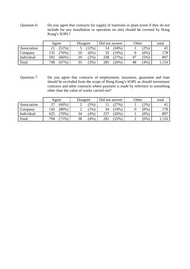Question 6: Do you agree that contracts for supply of materials or plant (even if they do not include for any installation or operation on site) should be covered by Hong Kong's SOPL?

|             | Agree           | Disagree     | Did not answer | Other          | total |
|-------------|-----------------|--------------|----------------|----------------|-------|
| Association | $51\%$          | $12\%$       | (34%<br>14     | $'2\%$         |       |
| Company     | .35<br>$76\%$ , | $(6\%)$      | 33<br>19%      | $^{\prime}0\%$ | 178   |
| Individual  | 592<br>$(66\%)$ | 20<br>$'2\%$ | 238<br>(27%    | $5\%$          | 897   |
| Total       | 748<br>$(67\%)$ | (3%)<br>35   | 285<br>(26%    | 48<br>$4\%$    | ,116  |

Question 7: Do you agree that contracts of employment, insurance, guarantee and loan should be excluded from the scope of Hong Kong's SOPL as should investment contracts and other contracts where payment is made by reference to something other than the value of works carried out?

|             | Agree           | Disagree      | Did not answer  | Other   | total          |
|-------------|-----------------|---------------|-----------------|---------|----------------|
| Association | $66\%$          | (5%)          | (27%            | (2%     | 4 <sub>1</sub> |
| Company     | $(80\%)$<br>142 | $1\%$         | 34<br>19%       | $(0\%)$ | 178            |
| Individual  | $70\%$ ,<br>625 | $'4\%$<br>34  | 237<br>$(26\%)$ | $(0\%)$ | 897            |
| Total       | 794<br>$1\%$ ,  | 38<br>$(4\%)$ | 282<br>(25%     | $(0\%)$ | 1,116          |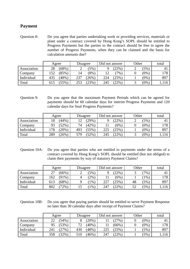# **Payment**

Question 8: Do you agree that parties undertaking work or providing services, materials or plant under a contract covered by Hong Kong's SOPL should be entitled to Progress Payments but the parties to the contract should be free to agree the number of Progress Payments, when they can be claimed and the basis for calculation amounts due?

|                         | Agree |          | Disagree |         | Did not answer |                 | Other |         | total          |
|-------------------------|-------|----------|----------|---------|----------------|-----------------|-------|---------|----------------|
| <b>Association</b>      | 28    | (68%)    |          | $(5\%)$ |                | $^{\prime}22\%$ |       | $(5\%)$ | 4 <sub>1</sub> |
| $\mathsf{\sim}$ Company | !52   | $85\%$ ) | 14       | $(8\%)$ |                | $7\%$           |       | (0%     | 178            |
| Individual              | 435   | (48%)    | 237      | (26%)   | 224            | (25%            |       | $(0\%)$ | 897            |
| Total                   | 615   | 55%)     | 253      | (23%)   | 245            | $'22\%$         |       | (0%     |                |

Question 9: Do you agree that the maximum Payment Periods which can be agreed for payments should be 60 calendar days for interim Progress Payments and 120 calendar days for final Progress Payments?

|                | Agree   |          | Disagree |         | Did not answer |         | Other |         | total          |
|----------------|---------|----------|----------|---------|----------------|---------|-------|---------|----------------|
| Association    | $\circ$ | 44%)     |          | $'29\%$ |                | (22%    | -     | (5%)    | 4 <sub>1</sub> |
| <b>Company</b> |         | $52\%)$  | 74       | (42%)   |                | $(6\%)$ |       | $(0\%)$ | 178            |
| Individual     | 178     | $20\%$ ) | 493      | $.55\%$ |                | (25%    |       | $(0\%)$ | 897            |
| Total          | 289     | (26%)    | 579      | $52\%$  | 245            | (22%    |       | $(0\%)$ |                |

Question 10A: Do you agree that parties who are entitled to payments under the terms of a contract covered by Hong Kong's SOPL should be entitled (but not obliged) to claim their payments by way of statutory Payment Claims?

|             | Agree |       | Disagree |         | Did not answer |         | Other |       | total |
|-------------|-------|-------|----------|---------|----------------|---------|-------|-------|-------|
| Association | ∼     | (66%) |          | $5\%$   |                | (22%    |       | $7\%$ |       |
| Company     | 162   | 91%)  |          | $2\%$ , |                | $(6\%)$ |       | 1%    | 178   |
| Individual  | 613   | (68%) |          | $1\%$   | 227            | (25%    | 48    | $5\%$ | 897   |
| Total       | 802   | 72%   |          | $1\%$   | 247            | (22%)   | 52    | $5\%$ | 16    |

Question 10B: Do you agree that paying parties should be entitled to serve Payment Response no later than 30 calendar days after receipt of Payment Claims?

|             | Agree |          | Disagree |          | Did not answer |          | Other |       | total |
|-------------|-------|----------|----------|----------|----------------|----------|-------|-------|-------|
| Association |       | 54%)     |          | $20\%)$  |                | (27%     |       | (0%   |       |
| Company     |       | 53%)     | 72       | $(40\%)$ |                | $(66\%)$ |       | (0%   | 178   |
| Individual  | 241   | (27%)    | 430      | (48%)    |                | $(25\%)$ |       | (5%)  | 897   |
| Total       | 358   | $32\%$ ) | 510      | $(46\%)$ | 247            | (22%)    |       | $5\%$ | 16    |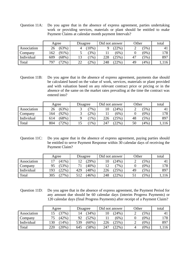Question 11A: Do you agree that in the absence of express agreement, parties undertaking work or providing services, materials or plant should be entitled to make Payment Claims at calendar month payment Intervals?

|             | Agree |          | Disagree |         | Did not answer |       | Other |                | total |
|-------------|-------|----------|----------|---------|----------------|-------|-------|----------------|-------|
| Association |       | $(63\%)$ |          | $10\%)$ |                | (22%  |       | $5\%$          |       |
| Company     | .62   | $(91\%)$ |          | (3%)    |                | $6\%$ |       | $^{\prime}0\%$ | 178   |
| Individual  | 609   | $68\%$   |          | 1%      | 228            | (25%  | 4     | $5\%$          | 897   |
| Total       | 797   | $72\%$ , | 22       | $2\%$ , | 248            | (22%  | 49    | $'4\%$         |       |

Question 11B: Do you agree that in the absence of express agreement, payments due should be calculated based on the value of work, services, materials or plant provided and with valuation based on any relevant contract price or pricing or in the absence of the same on the market rates prevailing at the time the contract was entered into?

|             | Agree |        | Disagree |         | Did not answer |         | Other |                | total |
|-------------|-------|--------|----------|---------|----------------|---------|-------|----------------|-------|
| Association | 26    | (63%)  |          | $7\%$ , | $10^{-1}$      | (24%    |       | $5\%$          |       |
| Company     | !64   | (92%)  |          | $2\%$   |                | $6\%$   |       | $^{\prime}0\%$ | 178   |
| Individual  | 614   | (68%)  |          | $1\%$   | 226            | (25%    | 48    | $(5\%$         | 897   |
| Total       | 804   | $72\%$ |          | $1\%$   | 247            | $'22\%$ | 50    | $4\%$          | 16    |

Question 11C: Do you agree that in the absence of express agreement, paying parties should be entitled to serve Payment Response within 30 calendar days of receiving the Payment Claim?

|             | Agree |          | Disagree |          | Did not answer |         | Other |        | total |
|-------------|-------|----------|----------|----------|----------------|---------|-------|--------|-------|
| Association |       | (41%     |          | $29\%$   | 10             | (24%    | ∽     | 5%     |       |
| Company     |       | 53%)     |          | $(40\%)$ | 12             | $7\%$   |       | $10\%$ | 178   |
| Individual  | 193   | $22\%$   | 429      | $(48\%)$ | 226            | 25%     | 49    | 5%     | 897   |
| Total       | 305   | $27\%$ , | 512      | $(46\%)$ | 248            | $'22\%$ | ◡     | $5\%$  | 16    |

Question 11D: Do you agree that in the absence of express agreement, the Payment Period for any amount due should be 60 calendar days (interim Progress Payments) or 120 calendar days (final Progress Payments) after receipt of a Payment Claim?

|                         | Agree |      | Disagree |          | Did not answer |        | Other |     | total |
|-------------------------|-------|------|----------|----------|----------------|--------|-------|-----|-------|
| <b>Association</b>      |       | 37%  |          | $34\%$   | ΙU             | (24%   |       | 5%  |       |
| $\mathsf{\sim}$ Company |       | (42% | 92       | $52\%$   |                | $6\%$  |       | (0% | 178   |
| Individual              | 130   | 14%  | 539      | $(60\%)$ | 226            | (25%   |       | (0% | -897  |
| Total                   | 220   | 20%  | 645      | $58\%$   | 247            | $22\%$ |       | (0% | 116   |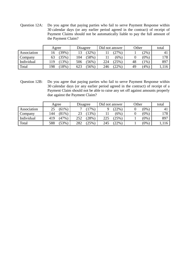Question 12A: Do you agree that paying parties who fail to serve Payment Response within 30 calendar days (or any earlier period agreed in the contract) of receipt of Payment Claims should not be automatically liable to pay the full amount of the Payment Claim?

|             | Agree          | Disagree     | Did not answer | Other         | total          |
|-------------|----------------|--------------|----------------|---------------|----------------|
| Association | $39\%$         | $32\%$ )     | (27%           | $2\%)$        | 4 <sub>1</sub> |
| Company     | $35\%$ )<br>63 | 104<br>(58%) | $6\%$          | $(0\%)$       | 178            |
| Individual  | $3\%$<br>119   | 506<br>(56%) | 224<br>(25%    | 48<br>$(1\%)$ | 897            |
| Total       | $8\%$<br>198   | 623<br>(56%) | (22%<br>246    | (4%)<br>49    | 1,116          |

Question 12B: Do you agree that paying parties who fail to serve Payment Response within 30 calendar days (or any earlier period agreed in the contract) of receipt of a Payment Claim should not be able to raise any set off against amounts properly due against the Payment Claim?

|             | Agree |        | Disagree |          | Did not answer |          | Other |                | total |
|-------------|-------|--------|----------|----------|----------------|----------|-------|----------------|-------|
| Association |       | $61\%$ |          | $(7\%)$  |                | (22%     |       | $^{\prime}0\%$ | 4.    |
| Company     | 144   | $81\%$ | 23       | 13%)     |                | $(6\% )$ |       | $(0\%)$        | 178   |
| Individual  | 419   | (47%   | 252      | $(28\%)$ |                | (25%     |       | $0\%$          | 897   |
| Total       | 588   | 53%    | 282      | $(25\%)$ | 245            | $'22\%$  |       | $(0\%),$       | .116  |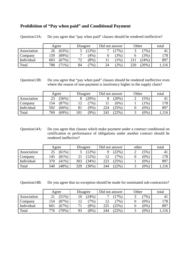## **Prohibition of "Pay when paid" and Conditional Payment**

|             | Agree |        | Disagree |         | Did not answer |       | Other |          | total |
|-------------|-------|--------|----------|---------|----------------|-------|-------|----------|-------|
| Association |       | $63\%$ |          | $12\%$  |                | 17%   |       | $7\%$ ,  | 4.    |
| Company     | .59   | $89\%$ |          | (4%     |                | (3%   |       | (3%)     | 178   |
| Individual  | 603   | 67%    | 72       | $(8\%)$ |                | $\%$  |       | (24%)    | 897   |
| Total       | 788   | $\%$ , | 84       | $7\%$ , | 24             | $2\%$ | 220   | $(20\%)$ | 16    |

Question13A: Do you agree that "pay when paid" clauses should be rendered ineffective?

Question13B: Do you agree that "pay when paid" clauses should be rendered ineffective even where the reason of non-payment is insolvency higher in the supply chain?

|             | Agree |          |     | Disagree |     | Did not answer |  | Other   |                |
|-------------|-------|----------|-----|----------|-----|----------------|--|---------|----------------|
| Association | າາ    | 56%)     |     | $(20\%)$ |     | $(20\%)$       |  | (5%)    | 4 <sub>1</sub> |
| Company     | .54   | $87\%$   |     | $7\%$    |     | $(6\%)$        |  | $1\%$ ) | 178            |
| Individual  | 592   | $(66\%)$ | 81  | $9\%$    | 224 | (25%           |  | $(0\%)$ | 897            |
| Total       | 769   | $(69\%)$ | 101 | $9\%$    | 243 | (22%           |  | $(0\%)$ | 16             |

Question14A: Do you agree that clauses which make payment under a contract conditional on certification or performance of obligations under another contract should be rendered ineffective?

|                | Agree |          | Disagree |          | Did not answer |                 | other |         | total          |
|----------------|-------|----------|----------|----------|----------------|-----------------|-------|---------|----------------|
| Association    |       | (61%)    |          | $12\%$   |                | $^{\prime}22\%$ | ∽     | (5%)    | 4 <sub>1</sub> |
| <b>Company</b> | 145   | $81\%$ ) |          | $12\%$   | 12             | $7\%$ ,         |       | $(0\%)$ | 178            |
| Individual     | 370   | $(41\%)$ | 303      | (34% )   | 223            | (25%            |       | $(0\%)$ | 897            |
| Total          | 540   | (48%)    | 329      | $(30\%)$ | 244            | (22%            |       | $(0\%)$ | 16             |

Question14B: Do you agree that no exception should be made for nominated sub-contractors?

|             | Agree |        | Disagree |         | Did not answer |       | Other |                | total |
|-------------|-------|--------|----------|---------|----------------|-------|-------|----------------|-------|
| Association |       | 51%    |          | $'24\%$ |                | 17%   |       | $7\%$ .        |       |
| Company     | 154   | (87%   |          | $7\%$ , | 12             | $7\%$ |       | $^{\prime}0\%$ | 178   |
| Individual  | 601   | (67%   |          | $8\%$   | 225            | (25%  |       | $^{\prime}0\%$ | 897   |
| Total       | 776   | $70\%$ | 93       | $8\%$   | 244            | (22%  |       | (0%            | .116  |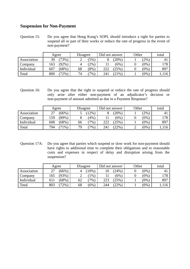#### **Suspension for Non-Payment**

Question 15: Do you agree that Hong Kong's SOPL should introduce a right for parties to suspend all or part of their works or reduce the rate of progress in the event of non-payment?

|             | Agree           | Disagree      | Did not answer                           | Other  | total          |
|-------------|-----------------|---------------|------------------------------------------|--------|----------------|
| Association | $73\%$ ,<br>30  | $5\%$         | (20%)                                    | $2\%$  | 4 <sub>1</sub> |
| Company     | 63<br>$(92\%)$  | $2\%$         | (6%)                                     | $(0\%$ | 178            |
| Individual  | (68%)<br>607    | $(8\%)$<br>68 | (25%)<br>າາາ<br>$\overline{\phantom{a}}$ | (0%    | 897            |
| Total       | $72\%$ ,<br>800 | $7\%$<br>74   | $(21\%)$<br>24                           | $(0\%$ |                |

Question 16: Do you agree that the right to suspend or reduce the rate of progress should only arise after either non-payment of an adjudicator's decision or non-payment of amount admitted as due in a Payment Response?

|                         | Agree |                          |    | Disagree |     | Did not answer |  | Other          |      |
|-------------------------|-------|--------------------------|----|----------|-----|----------------|--|----------------|------|
| <b>Association</b>      |       | (66%)                    |    | $12\%$   |     | (20%           |  | $'2\%$         |      |
| $\mathsf{\sim}$ Company | .59   | $(89\%)$                 |    | (4%      |     | $(6\%$         |  | $^{\prime}0\%$ | 178  |
| Individual              | 608   | (68%)                    | 66 | $7\%$    |     | '25%           |  | $^{\prime}0\%$ | 897  |
| Total                   | 794   | $1\%$<br>$\mathbf{\tau}$ | 79 | $7\%$    | 241 | (22%           |  | $^{\prime}0\%$ | ,116 |

Question 17A: Do you agree that parties which suspend or slow work for non-payment should have rights to additional time to complete their obligations and to reasonable costs and expenses in respect of delay and disruption arising from the suspension?

|             | Agree           | Disagree      | Did not answer | Other          | total |
|-------------|-----------------|---------------|----------------|----------------|-------|
| Association | $66\%$          | $10\%$ )      | (24%<br>10     | (0%            |       |
| Company     | $(93\%)$<br>165 | $1\%$         | $(6\%$         | $^{\prime}0\%$ | 178   |
| Individual  | $68\%$<br>611   | $7\%$ ,<br>62 | (25%<br>223    | (0%            | 897   |
| Total       | 803<br>$72\%$   | 68<br>$(6\%)$ | (22%<br>244    | $10\%$         | 16    |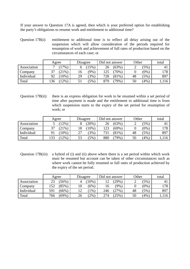If your answer to Question 17A is agreed, then which is your preferred option for establishing the party's obligations to resume work and entitlement to additional time?

Question 17B(i): entitlement to additional time is to reflect all delay arising out of the suspension which will allow consideration of the periods required for resumption of work and achievement of full rates of production based on the circumstances of each case; or

|                    | Agree          | Disagree    | Did not answer | Other       | total          |
|--------------------|----------------|-------------|----------------|-------------|----------------|
| <b>Association</b> | 7%             | $15\%)$     | $(63\%$<br>26  | $(5\%)$     | 4 <sub>1</sub> |
| $\mathsf{Company}$ | $(21\%)$       | $9\%$ ,     | $70\%$ ,       | (0%         | 178            |
| Individual         | $10\%)$<br>92  | $3\%$<br>29 | (81%<br>728    | 48<br>(5%)  | 897            |
| Total              | $2\%$ )<br>136 | $5\%$       | 879<br>$79\%$  | (4% )<br>50 |                |

Question 17B(ii): there is an express obligation for work to be resumed within a set period of time after payment is made and the entitlement to additional time is from which suspension starts to the expiry of the set period for resumption of work; or

|             | Agree |          | Disagree |        | Did not answer |          | Other |         | total |
|-------------|-------|----------|----------|--------|----------------|----------|-------|---------|-------|
| Association |       | 2%       |          | $20\%$ | 26             | $(63\%)$ |       | (5%)    |       |
| Company     |       | $21\%$ ) |          | 10%    | 123            | $(69\%$  |       | $(0\%)$ | 178   |
| Individual  |       | $10\%$   | 27       | $3\%$  | 731            | (81%     | 48    | $(5\%)$ | 897   |
| Total       | 33    | 2%       | 53       | $5\%$  | 880            | (79%     | 50    | (4%)    | 16    |

Question 17B(iii): a hybrid of (i) and (ii) above where there is a set period within which work must be resumed but account can be taken of other circumstances such as where work cannot be fully resumed or full rates of production achieved by the expiry of the set period.

|             | Agree           | Disagree    | Did not answer | Other          | total |
|-------------|-----------------|-------------|----------------|----------------|-------|
| Association | $56\%)$         | $(10\%)$    | (29%<br>∸      | $5\%$          |       |
| Company     | (85%)<br>152    | $(6\%)$     | (9%<br>10      | $^{\prime}0\%$ | 178   |
| Individual  | 591<br>(66%)    | $1\%$       | 27%<br>246     | (5%)<br>48     | 897   |
| Total       | $(69\%)$<br>766 | $2\%$<br>26 | 274<br>25%     | (4%)<br>50     |       |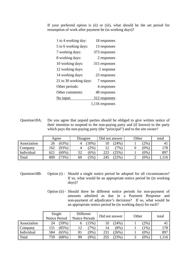If your preferred option is (ii) or (iii), what should be the set period for resumption of work after payment be (in working days)?

| 1 to 4 working day:    | 18 responses    |
|------------------------|-----------------|
| 5 to 6 working days:   | 13 responses    |
| 7 working days:        | 373 responses   |
| 8 working days:        | 2 responses     |
| 10 working days:       | 315 responses   |
| 12 working days:       | 1 response      |
| 14 working days:       | 23 responses    |
| 21 to 30 working days: | 7 responses     |
| Other periods:         | 4 responses     |
| Other comments:        | 48 responses    |
| No input:              | 312 responses   |
|                        | 1,116 responses |

Question18A: Do you agree that unpaid parties should be obliged to give written notice of their intention to suspend to the non-paying party and (if known) to the party which pays the non-paying party (the "principal") and to the site owner?

|             | Agree |        | Disagree |         | Did not answer |         | Other |                | total |
|-------------|-------|--------|----------|---------|----------------|---------|-------|----------------|-------|
| Association |       | (63%)  |          | $10%$ ) | 10             | (24%    |       | $^{\prime}2\%$ | 4.1   |
| Company     | 162   | (93%)  |          | $2\%$   |                | $7\%$ , |       | $(0\%)$        | 178   |
| Individual  | 621   | (69%)  | 52       | $(6\%$  | 223            | (25%    |       | $'0\%$         | 897   |
| Total       | 809   | $73\%$ | 60       | $(5\%)$ | 245            | (22%    |       | $(0\%)$        |       |

- Question18B: Option (i) Should a single notice period be adopted for all circumstances? If so, what would be an appropriate notice period be (in working days)?
	- Option (ii) Should there be different notice periods for non-payment of amounts admitted as due in a Payment Response and non-payment of adjudicator's decisions? If so, what would be an appropriate notice period be (in working days) for each?

|                         | Single<br><b>Notice Period</b> |          | Different<br><b>Notice Periods</b> |         | Did not answer |         | Other |         | total |
|-------------------------|--------------------------------|----------|------------------------------------|---------|----------------|---------|-------|---------|-------|
| <b>Association</b>      | 24                             | 59%)     |                                    | 15%)    | 10             | (24%)   |       | (2%     |       |
| $\mathsf{\sim}$ Company | 151                            | $85\%$ ) |                                    | $7\%$   | 14             | $(8\%)$ |       | $1\%$ ) | 178   |
| Individual              | 584                            | (65%)    | 81                                 | $(9\%)$ | 231            | (26%)   |       | $(0\%)$ | 897   |
| Total                   | 759                            | (68%)    | 99                                 | $(9\%)$ | 255            | (23%)   |       | $(0\%)$ | .116  |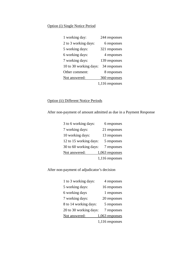#### Option (i) Single Notice Period

| 1 working day:         | 244 responses   |
|------------------------|-----------------|
| 2 to 3 working days:   | 6 responses     |
| 5 working days:        | 321 responses   |
| 6 working days:        | 4 responses     |
| 7 working days:        | 139 responses   |
| 10 to 30 working days: | 34 responses    |
| Other comment:         | 8 responses     |
| Not answered:          | 360 responses   |
|                        | 1,116 responses |

# Option (ii) Different Notice Periods

After non-payment of amount admitted as due in a Payment Response

| 3 to 6 working days:   | 6 responses       |
|------------------------|-------------------|
| 7 working days:        | 21 responses      |
| 10 working days:       | 13 responses      |
| 12 to 15 working days: | 5 responses       |
| 30 to 60 working days: | 7 responses       |
| Not answered:          | $1,063$ responses |
|                        | 1,116 responses   |

After non-payment of adjudicator's decision

| 4 responses                           |
|---------------------------------------|
| 16 responses                          |
| 1 responses                           |
| 20 responses                          |
| 5 responses                           |
| 20 to 30 working days:<br>7 responses |
| $1,063$ responses                     |
| 1,116 responses                       |
|                                       |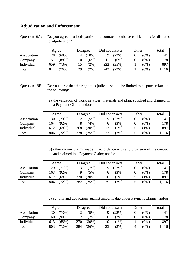## **Adjudication and Enforcement**

Question19A: Do you agree that both parties to a contract should be entitled to refer disputes to adjudication?

|             | Agree           | Disagree     | Did not answer                          | Other   | total |
|-------------|-----------------|--------------|-----------------------------------------|---------|-------|
| Association | 28<br>$68\%$    | $(10\%)$     | $'22\%$                                 | $(0\%)$ | 4.    |
| Company     | $88\%$<br>57ء   | $(6\%)$      | (6%                                     | $(0\%)$ | 178   |
| Individual  | $73\%$<br>659   | $2\%$<br>⊥J  | (25%<br>າາາ<br>$\overline{\phantom{a}}$ | $(0\%)$ | 897   |
| Total       | 844<br>$76\%$ , | $'2\%$<br>29 | $^{\prime}22\%$<br>242                  | $(0\%)$ |       |

- Question 19B: Do you agree that the right to adjudicate should be limited to disputes related to the following:
	- (a) the valuation of work, services, materials and plant supplied and claimed in a Payment Claim; and/or

|             | Agree |        | Disagree |          | Did not answer |         | Other |       | total |
|-------------|-------|--------|----------|----------|----------------|---------|-------|-------|-------|
| Association | 30    | $73\%$ |          | $(5\%$   |                | $'22\%$ |       | (0%   |       |
| Company     | 164   | (92%   |          | (4%      |                | $3\%$   |       | (0%   | 178   |
| Individual  | 612   | 68%    | 268      | $(30\%)$ | !∠             | 1%      |       | $1\%$ | 897   |
| Total       | 806   | $72\%$ | 278      | $25\%$   | n –<br>ا ت     | (2%     |       | (0%   | 1,116 |

(b) other money claims made in accordance with any provision of the contract and claimed in a Payment Claim; and/or

|             | Agree |          | Disagree |          | Did not answer |         | Other |        | total |
|-------------|-------|----------|----------|----------|----------------|---------|-------|--------|-------|
| Association | 29    | $1\%$    |          | $7\%$    |                | (22%)   |       | $(0\%$ |       |
| Company     | 163   | $(92\%)$ |          | $5\%$    |                | (3%)    |       | (0%    | 178   |
| Individual  | 612   | $(68\%)$ | 270      | $30\%$   | 10             | $1\%$ ) |       | $1\%$  | 897   |
| Total       | 804   | $72\%$   | 282      | $(25\%)$ | 25             | $(2\%)$ |       | (0%    | 116   |

(c) set offs and deductions against amounts due under Payment Claims; and/or

|             | Agree |         |     | Disagree | Did not answer |           | Other |        | total |
|-------------|-------|---------|-----|----------|----------------|-----------|-------|--------|-------|
| Association | 30    | 73%     |     | $5\%$    |                | $'22\%$ , |       | $0\%$  |       |
| Company     | 160   | $(90\%$ |     | $7\%$    |                | $3\%$     |       | $(0\%$ | 178   |
| Individual  | 613   | 68%     | 270 | $30\%$   | 10             | 1%        |       | $10\%$ | 897   |
| Total       | 803   | $72\%$  | 284 | $26\%$   | 25             | $'2\%$    |       | $10\%$ | 16    |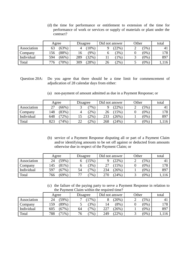(d) the time for performance or entitlement to extension of the time for performance of work or services or supply of materials or plant under the contract?

|             | Agree |        | Disagree |          | Did not answer |        | Other |                | total |
|-------------|-------|--------|----------|----------|----------------|--------|-------|----------------|-------|
| Association | ნე    | (63%)  |          | $10\%$ , |                | (22%   |       | (5%            |       |
| Company     | 156   | (88%)  |          | $(9\%$   |                | $3\%$  |       | (0%            | 178   |
| Individual  | 594   | (66%)  | 289      | $32\%$   |                | 1%     |       | (0%            | 897   |
| Total       | 776   | $70\%$ | 309      | (28%     | 26             | $'2\%$ |       | $^{\prime}0\%$ | ,116  |

- Question 20A: Do you agree that there should be a time limit for commencement of adjudication of 28 calendar days from either:
	- (a) non-payment of amount admitted as due in a Payment Response; or

|             |     | Agree    |    | Disagree | Did not answer |          | Other |       | total |
|-------------|-----|----------|----|----------|----------------|----------|-------|-------|-------|
| Association |     | $(66\%)$ |    | $7\%$    |                | (22%)    |       | 5%    |       |
| Company     | 148 | (83%)    |    | $2\%$    | 26             | $15\%)$  |       | (0%   | 178   |
| Individual  | 648 | $72\%$   |    | $2\%$    | 233            | $(26\%)$ |       | (0%   | 897   |
| Total       | 823 | $74\%$   | 22 | $2\%$    | 268            | (24%     |       | $0\%$ | ,116  |

(b) service of a Payment Response disputing all or part of a Payment Claim and/or identifying amounts to be set off against or deducted from amounts otherwise due in respect of the Payment Claim; or

|             | Agree           | Disagree       | Did not answer                    | Other          | total |
|-------------|-----------------|----------------|-----------------------------------|----------------|-------|
| Association | $(59\%)$<br>24  | $15\%$         | (22%                              | (5%            |       |
| Company     | $(81\%)$<br>145 | (3%)           | 15%<br>$\overline{\phantom{a}}$ . | $^{\prime}0\%$ | 178   |
| Individual  | 597<br>(67%)    | $7\%$ ,<br>54  | 234<br>$(26\%)$                   | (0%            | 897   |
| Total       | $(69\%$<br>766  | $7\%$ ,<br>— — | (24%<br>270                       | $10\%$         | 116   |

(c) the failure of the paying party to serve a Payment Response in relation to the Payment Claim within the required time?

|             | Agree        | Disagree    | Did not answer  | Other          | total |
|-------------|--------------|-------------|-----------------|----------------|-------|
| Association | (59%)<br>24  | 17%         | $^{\prime}20\%$ | (5%)           |       |
| Company     | (89%)<br>159 | (3%)        | $'8\%$<br>14    | (0%            | 178   |
| Individual  | 605<br>(67%) | $7\%$<br>64 | 227<br>$(26\%)$ | $(0\%)$        | 897   |
| Total       | 788<br>$1\%$ | $7\%$<br>76 | 249<br>(22%     | $^{\prime}0\%$ | 16    |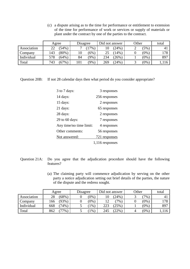(c) a dispute arising as to the time for performance or entitlement to extension of the time for performance of work or services or supply of materials or plant under the contract by one of the parties to the contract.

|             | Agree |          |     | Disagree |     | Did not answer |  | Other          |      |
|-------------|-------|----------|-----|----------|-----|----------------|--|----------------|------|
| Association |       | (54%)    |     | $17\%$ . | 10  | (24%           |  | $(5\%$         |      |
| Company     | 143   | $(80\%)$ |     | $6\%$    | 25  | 14%            |  | (0%            | 178  |
| Individual  | 578   | (64%     | 84  | $9\%$    | 234 | '26%           |  | (0%            | 897  |
| Total       | 743   | $67\%$   | 101 | $9\%$    | 269 | (24%           |  | $^{\prime}0\%$ | ,116 |

Question 20B: If not 28 calendar days then what period do you consider appropriate?

| 3 to 7 days:            | 3 responses     |
|-------------------------|-----------------|
| 14 days:                | 256 responses   |
| 15 days:                | 2 responses     |
| 21 days:                | 65 responses    |
| 28 days:                | 2 responses     |
| 29 to 60 days:          | 7 responses     |
| Any time/no time limit: | 4 responses     |
| Other comments:         | 56 responses    |
| Not answered:           | 721 responses   |
|                         | 1,116 responses |

- Question 21A: Do you agree that the adjudication procedure should have the following features?
	- (a) The claiming party will commence adjudication by serving on the other party a notice adjudication setting out brief details of the parties, the nature of the dispute and the redress sought.

|                         | Agree |          | Disagree |       | Did not answer |         | Other |                | total |
|-------------------------|-------|----------|----------|-------|----------------|---------|-------|----------------|-------|
| Association             | 28    | (68%)    |          | $0\%$ | ΙU             | (24%    |       | $7\%$          |       |
| $\mathsf{\sim}$ Company | 166   | (93%)    |          | $0\%$ | 12             | $7\%$   |       | (0%            | 178   |
| Individual              | 668   | $74\%)$  |          | $1\%$ | 223            | (25%    |       | $^{\prime}0\%$ | 897   |
| Total                   | 862   | $77\%$ , |          | $1\%$ | 245            | $'22\%$ |       | (0%            | 16    |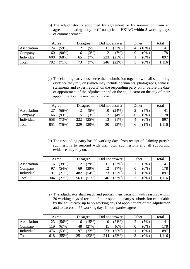(b) The adjudicator is appointed by agreement or by nomination from an agreed nominating body or (if none) from HKIAC within 5 working days of commencement.

|             | Agree |          | Disagree |       | Did not answer |       | <b>Other</b> |                | total |
|-------------|-------|----------|----------|-------|----------------|-------|--------------|----------------|-------|
| Association | 24    | $(59\%)$ |          | $5\%$ |                | (27%  |              | 10%            |       |
| Company     | 160   | $(90\%)$ |          | $3\%$ | ⊥ ∠            | $7\%$ |              | $^{\prime}0\%$ | 178   |
| Individual  | 608   | $(68\%)$ | 65       | $7\%$ | 223            | (25%  |              | $^{\prime}0\%$ | 897   |
| Total       | 792   | 1%       | 73       | $7\%$ | 246            | (22%  |              | $(0\%),$       |       |

(c) The claiming party must serve their submission together with all supporting evidence they rely on (which may include documents, photographs, witness statements and expert reports) on the responding party on or before the date of appointment of the adjudicator and on the adjudicator on the day of their appointment or the next working day.

|             | Agree |         | Disagree |          | Did not answer |         | Other |                | total            |
|-------------|-------|---------|----------|----------|----------------|---------|-------|----------------|------------------|
| Association |       | (66%)   |          | $5\%$    | 10             | $'24\%$ |       | $(5\%)$        | $\overline{4}$ . |
| Company     | 166   | (93%)   |          | $3\%$    |                | (4%     |       | $0\%$          | 178              |
| Individual  | 658   | $73\%)$ | 222      | $(25\%)$ | 13             | $1\%$   |       | $^{\prime}0\%$ | 897              |
| Total       | 851   | $76\%$  | 229      | $20\%$   | 30             | 3%      |       | $1\%$          |                  |

(d) The responding party has 20 working days from receipt of claiming party's submissions to respond with their own submissions and all supporting evidence they rely on.

|             |     | Agree  | Disagree |          | Did not answer |        | Other |     | total |
|-------------|-----|--------|----------|----------|----------------|--------|-------|-----|-------|
| Association |     | $39\%$ |          | $(29\%)$ |                | $27\%$ |       | 5%  |       |
| Company     | 97  | $54\%$ | 69       | $(39\%)$ | 1 ິ            | $7\%$  |       | (0% | 178   |
| Individual  | 191 | (21%   | 482      | (54%)    | 223            | (25%   |       | (0% | 897   |
| Total       | 304 | (27%   | 563      | $(51\%)$ | 246            | $22\%$ |       | (0% | ,116  |

(e) The adjudicator shall reach and publish their decision, with reasons, within 20 working days of receipt of the responding party's submission extendable by the adjudicator up to 55 working days of appointment of the adjudicator and to excess of 55 working days if both parties agree.

|                         | Agree |          | Disagree |          | Did not answer |        | Other |        | total  |
|-------------------------|-------|----------|----------|----------|----------------|--------|-------|--------|--------|
| <b>Association</b>      |       | 56%)     |          | 15%      | 10             | (24%   |       | $(5\%$ |        |
| $\mathsf{\sim}$ Company | 119   | $(67\%)$ | 48       | $(27\%)$ |                | $6\%$  |       | (0%    | 178    |
| Individual              | 476   | 53%      | 197      | $22\%$   | 223            | (25%   |       | (0%    | 897    |
| Total                   | 618   | $55\%$   | 251      | (23%     | 244            | $22\%$ |       | (0%    | $16^-$ |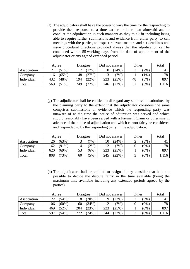(f) The adjudicators shall have the power to vary the time for the responding to provide their response to a time earlier or later than aforesaid and to conduct the adjudication in such manners as they think fit including being able to require further submissions and evidence from either party, to call meetings with the parties, to inspect relevant matters and set deadlines and issue procedural directions provided always that the adjudication can be concluded within 55 working days from the date of appointment of the adjudicator or any agreed extended period.

|             | Agree |          | Disagree |          | Did not answer |         | Other |        | total |
|-------------|-------|----------|----------|----------|----------------|---------|-------|--------|-------|
| Association |       | 51%      |          | $(17\%)$ | 10             | (24%    |       | $7\%$  |       |
| Company     | .16   | $(65\%)$ | 48       | $27\%$   |                | $7\%$ , |       | 1%     | 178   |
| Individual  | 432   | 48%      | 194      | $22\%$   | 223            | (25%    | 48    | $(5\%$ | 897   |
| Total       | 569   | 51%      | 249      | $'22\%$  | 246            | $'22\%$ | ے ر   | $(5\%$ | 116   |

(g) The adjudicator shall be entitled to disregard any submission submitted by the claiming party to the extent that the adjudicator considers the same comprises submissions or evidence which the responding party was unaware of at the time the notice of adjuration was served and which should reasonably have been served with a Payment Claim or otherwise in advance of the notice of adjudication and which cannot fairly be considered and responded to by the responding party in the adjudication.

|                    | Agree |          | Disagree |       | Did not answer |         | Other |         | total          |
|--------------------|-------|----------|----------|-------|----------------|---------|-------|---------|----------------|
| <b>Association</b> |       | (63%)    |          | $7\%$ | 10             | (24%    |       | (5%)    | 4 <sub>1</sub> |
| Company            | 62    | $(91\%)$ |          | $2\%$ | 12             | $7\%$ , |       | (0% )   | 178            |
| Individual         | 620   | (69%)    | 53       | $6\%$ |                | (25%    |       | $0\%$   | 897            |
| Total              | 808   | $73\%$   | 60       | 5%    | 245            | $'22\%$ |       | $(0\%)$ | 116            |

(h) The adjudicator shall be entitled to resign if they consider that it is not possible to decide the dispute fairly in the time available (being the maximum time available including any extended periods agreed by the parties).

|             | Agree    |        | Disagree |         | Did not answer |       | Other |                | total |
|-------------|----------|--------|----------|---------|----------------|-------|-------|----------------|-------|
| Association | ററ<br>∠∠ | $54\%$ |          | $'20\%$ |                | (22%  |       | $5\%$          |       |
| Company     | !06      | $60\%$ | 60       | $34\%$  | ⊥ ∠            | $7\%$ |       | $^{\prime}0\%$ | 178   |
| Individual  | 469      | $52\%$ | 204      | $23\%$  | 223            | 25%   |       | $10\%$         | 897   |
| Total       | 597      | $54\%$ | 272      | $24\%$  | 244            | (22%  |       | $^{\prime}0\%$ | ,116  |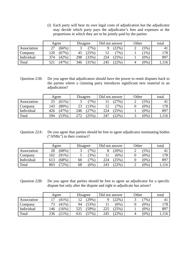(i) Each party will bear its own legal costs of adjudication but the adjudicator may decide which party pays the adjudicator's fees and expenses or the proportions in which they are to be jointly paid by the parties

|                         | Agree |       | Disagree |          | Did not answer |         | Other |                | total |
|-------------------------|-------|-------|----------|----------|----------------|---------|-------|----------------|-------|
| <b>Association</b>      |       | (66%) |          | $7\%$ ,  |                | $'22\%$ |       | $(5\%$         |       |
| $\mathsf{\sim}$ Company | .20   | (67%) | 45       | (25%)    |                | $7\%$   |       | $1\%$          | 178   |
| Individual              | 374   | (42%  | 298      | $(33\%)$ | 224            | (25%    |       | $^{\prime}0\%$ | 897   |
| Total                   | 521   | (47%  | 346      | $31\%$   | 245            | 122%    |       | (0%            |       |

Question 21B: Do you agree that adjudicators should have the power to remit disputes back to the parties where a claiming party introduces significant new material in an adjudication?

|             | Agree |          |     | Disagree |     | Did not answer |  | Other          |       |
|-------------|-------|----------|-----|----------|-----|----------------|--|----------------|-------|
| Association | 25    | $(61\%)$ |     | $7\%$    |     | $'27\%$        |  | $5\%$          |       |
| Company     | 143   | $80\%$   | 23  | 13%      |     | $7\%$          |  | $10\%$         | 178   |
| Individual  | 426   | (47%     | 246 | (27%     | 224 | (25%           |  | (0%            | 897   |
| Total       | 594   | $53\%$   | 272 | 25%      | 247 | (22%           |  | $^{\prime}0\%$ | 1,116 |

Question 22A: Do you agree that parties should be free to agree adjudicator nominating bodies ("ANBs") in their contract?

|             | Agree           | Disagree      | Did not answer | Other   | total          |
|-------------|-----------------|---------------|----------------|---------|----------------|
| Association | $(68\%)$<br>28  | $7\%$ ,       | $'20\%$        | (5%)    | 4 <sub>1</sub> |
| Company     | $(91\%)$<br>162 | (3%)          | (6%            | $(0\%)$ | 178            |
| Individual  | $68\%$<br>613   | $7\%$ ,<br>60 | 224<br>(25%    | $(0\%)$ | 897            |
| Total       | $72\%$<br>803   | 68<br>(6%)    | 243<br>$'22\%$ | $(0\%)$ | 16             |

Question 22B: Do you agree that parties should be free to agree an adjudicator for a specific dispute but only after the dispute and right to adjudicate has arisen?

|             | Agree |        | Disagree |          | Did not answer |          | Other |       | total |
|-------------|-------|--------|----------|----------|----------------|----------|-------|-------|-------|
| Association |       | (41%   |          | $'29\%$  |                | $(22\%)$ |       | $7\%$ |       |
| Company     |       | (41%   | 94       | $53\%$   |                | (6%)     |       | (0%   | 178   |
| Individual  | 146   | $16\%$ | 525      | $(59\%)$ |                | (25%)    |       | (0%   | 897   |
| Total       | 236   | 21%    | 631      | $57\%$   | 245            | $22\%$   |       | (0%   | .116  |